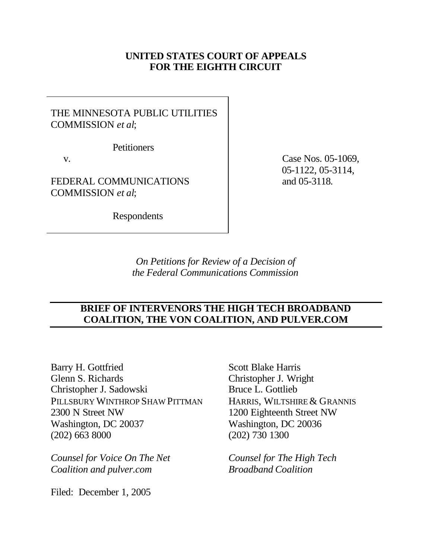## **UNITED STATES COURT OF APPEALS FOR THE EIGHTH CIRCUIT**

# THE MINNESOTA PUBLIC UTILITIES COMMISSION *et al*;

**Petitioners** 

v.

FEDERAL COMMUNICATIONS COMMISSION *et al*;

Respondents

 Case Nos. 05-1069, 05-1122, 05-3114, and 05-3118.

*On Petitions for Review of a Decision of the Federal Communications Commission*

## **BRIEF OF INTERVENORS THE HIGH TECH BROADBAND COALITION, THE VON COALITION, AND PULVER.COM**

Barry H. Gottfried Glenn S. Richards Christopher J. Sadowski PILLSBURY WINTHROP SHAW PITTMAN 2300 N Street NW Washington, DC 20037 (202) 663 8000

*Counsel for Voice On The Net Coalition and pulver.com*

Filed: December 1, 2005

Scott Blake Harris Christopher J. Wright Bruce L. Gottlieb HARRIS, WILTSHIRE & GRANNIS 1200 Eighteenth Street NW Washington, DC 20036 (202) 730 1300

*Counsel for The High Tech Broadband Coalition*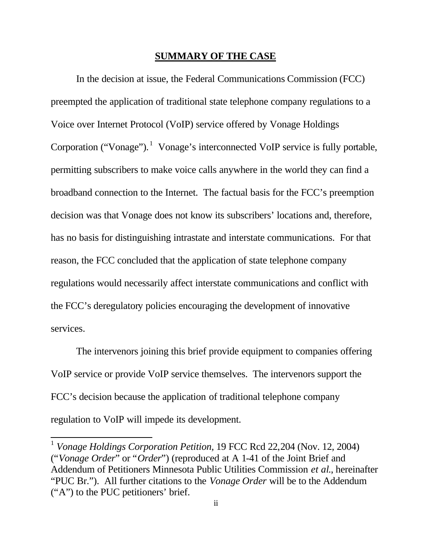### **SUMMARY OF THE CASE**

In the decision at issue, the Federal Communications Commission (FCC) preempted the application of traditional state telephone company regulations to a Voice over Internet Protocol (VoIP) service offered by Vonage Holdings Corporation ("Vonage"). <sup>1</sup> Vonage's interconnected VoIP service is fully portable, permitting subscribers to make voice calls anywhere in the world they can find a broadband connection to the Internet. The factual basis for the FCC's preemption decision was that Vonage does not know its subscribers' locations and, therefore, has no basis for distinguishing intrastate and interstate communications. For that reason, the FCC concluded that the application of state telephone company regulations would necessarily affect interstate communications and conflict with the FCC's deregulatory policies encouraging the development of innovative services.

The intervenors joining this brief provide equipment to companies offering VoIP service or provide VoIP service themselves. The intervenors support the FCC's decision because the application of traditional telephone company regulation to VoIP will impede its development.

 $\overline{\phantom{a}}$ 

<sup>&</sup>lt;sup>1</sup> Vonage Holdings Corporation Petition, 19 FCC Rcd 22,204 (Nov. 12, 2004) ("*Vonage Order*" or "*Order*") (reproduced at A 1-41 of the Joint Brief and Addendum of Petitioners Minnesota Public Utilities Commission *et al*., hereinafter "PUC Br."). All further citations to the *Vonage Order* will be to the Addendum ("A") to the PUC petitioners' brief.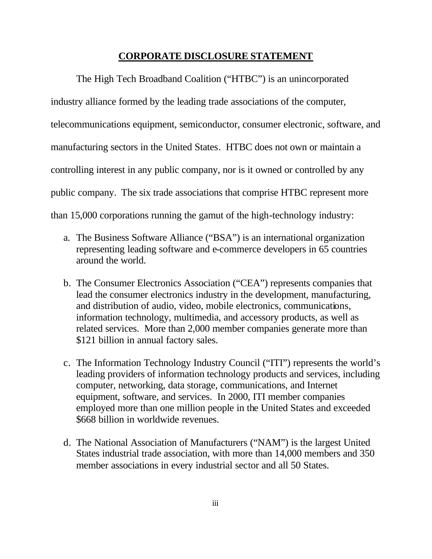### **CORPORATE DISCLOSURE STATEMENT**

The High Tech Broadband Coalition ("HTBC") is an unincorporated industry alliance formed by the leading trade associations of the computer, telecommunications equipment, semiconductor, consumer electronic, software, and manufacturing sectors in the United States. HTBC does not own or maintain a controlling interest in any public company, nor is it owned or controlled by any public company. The six trade associations that comprise HTBC represent more than 15,000 corporations running the gamut of the high-technology industry:

- a. The Business Software Alliance ("BSA") is an international organization representing leading software and e-commerce developers in 65 countries around the world.
- b. The Consumer Electronics Association ("CEA") represents companies that lead the consumer electronics industry in the development, manufacturing, and distribution of audio, video, mobile electronics, communications, information technology, multimedia, and accessory products, as well as related services. More than 2,000 member companies generate more than \$121 billion in annual factory sales.
- c. The Information Technology Industry Council ("ITI") represents the world's leading providers of information technology products and services, including computer, networking, data storage, communications, and Internet equipment, software, and services. In 2000, ITI member companies employed more than one million people in the United States and exceeded \$668 billion in worldwide revenues.
- d. The National Association of Manufacturers ("NAM") is the largest United States industrial trade association, with more than 14,000 members and 350 member associations in every industrial sector and all 50 States.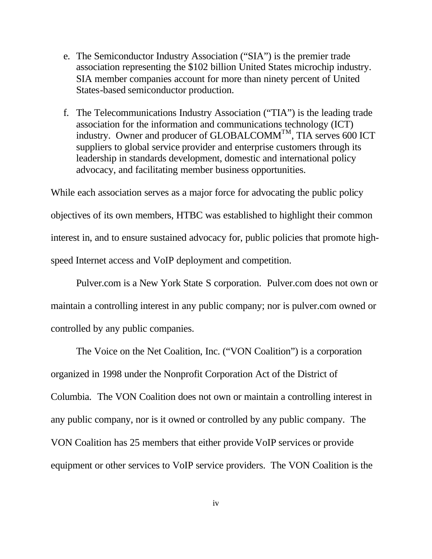- e. The Semiconductor Industry Association ("SIA") is the premier trade association representing the \$102 billion United States microchip industry. SIA member companies account for more than ninety percent of United States-based semiconductor production.
- f. The Telecommunications Industry Association ("TIA") is the leading trade association for the information and communications technology (ICT) industry. Owner and producer of GLOBALCOMM<sup>TM</sup>, TIA serves 600 ICT suppliers to global service provider and enterprise customers through its leadership in standards development, domestic and international policy advocacy, and facilitating member business opportunities.

While each association serves as a major force for advocating the public policy objectives of its own members, HTBC was established to highlight their common interest in, and to ensure sustained advocacy for, public policies that promote highspeed Internet access and VoIP deployment and competition.

Pulver.com is a New York State S corporation. Pulver.com does not own or maintain a controlling interest in any public company; nor is pulver.com owned or controlled by any public companies.

The Voice on the Net Coalition, Inc. ("VON Coalition") is a corporation organized in 1998 under the Nonprofit Corporation Act of the District of Columbia. The VON Coalition does not own or maintain a controlling interest in any public company, nor is it owned or controlled by any public company. The VON Coalition has 25 members that either provide VoIP services or provide equipment or other services to VoIP service providers. The VON Coalition is the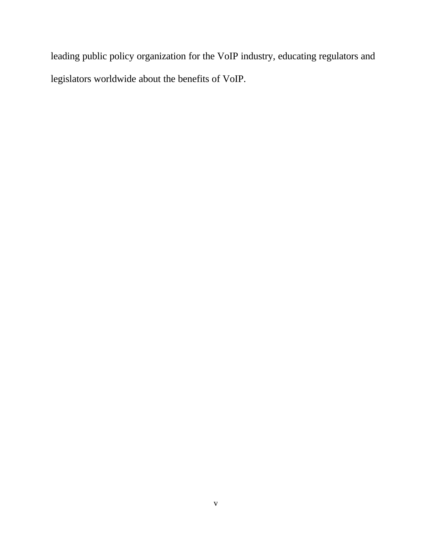leading public policy organization for the VoIP industry, educating regulators and legislators worldwide about the benefits of VoIP.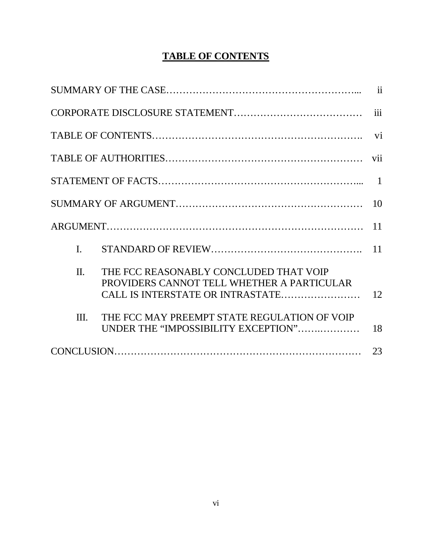# **TABLE OF CONTENTS**

|                                                                                                                                                                                                                                  | $\ddot{\mathbf{i}}$      |
|----------------------------------------------------------------------------------------------------------------------------------------------------------------------------------------------------------------------------------|--------------------------|
|                                                                                                                                                                                                                                  | iii                      |
|                                                                                                                                                                                                                                  | $\overline{\mathbf{vi}}$ |
|                                                                                                                                                                                                                                  | vii                      |
|                                                                                                                                                                                                                                  |                          |
|                                                                                                                                                                                                                                  | 10                       |
|                                                                                                                                                                                                                                  | 11                       |
| $\mathbf{I}$ .                                                                                                                                                                                                                   | 11                       |
| $\Pi$ .<br>THE FCC REASONABLY CONCLUDED THAT VOIP<br>PROVIDERS CANNOT TELL WHETHER A PARTICULAR<br>CALL IS INTERSTATE OR INTRASTATE<br>THE FCC MAY PREEMPT STATE REGULATION OF VOIP<br>Ш.<br>UNDER THE "IMPOSSIBILITY EXCEPTION" | 12<br>18                 |
|                                                                                                                                                                                                                                  | 23                       |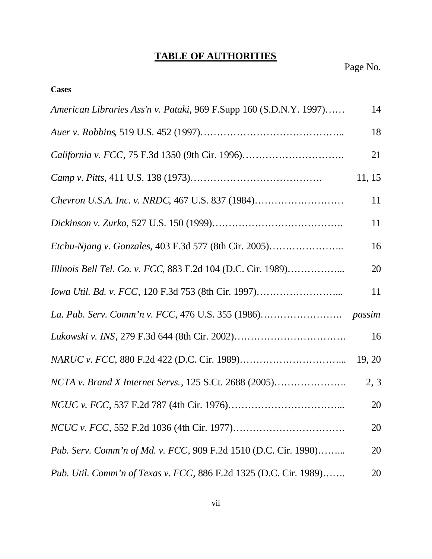# **TABLE OF AUTHORITIES**

| <b>Cases</b>                                                       |        |
|--------------------------------------------------------------------|--------|
| American Libraries Ass'n v. Pataki, 969 F.Supp 160 (S.D.N.Y. 1997) | 14     |
|                                                                    | 18     |
| California v. FCC, 75 F.3d 1350 (9th Cir. 1996)                    | 21     |
|                                                                    | 11, 15 |
|                                                                    | 11     |
|                                                                    | 11     |
| Etchu-Njang v. Gonzales, 403 F.3d 577 (8th Cir. 2005)              | 16     |
| Illinois Bell Tel. Co. v. FCC, 883 F.2d 104 (D.C. Cir. 1989)       | 20     |
| Iowa Util. Bd. v. FCC, 120 F.3d 753 (8th Cir. 1997)                | 11     |
|                                                                    | passim |
|                                                                    | 16     |
|                                                                    | 19, 20 |
| NCTA v. Brand X Internet Servs., 125 S.Ct. 2688 (2005)             | 2, 3   |
|                                                                    | 20     |
|                                                                    | 20     |
| Pub. Serv. Comm'n of Md. v. FCC, 909 F.2d 1510 (D.C. Cir. 1990)    | 20     |
| Pub. Util. Comm'n of Texas v. FCC, 886 F.2d 1325 (D.C. Cir. 1989)  | 20     |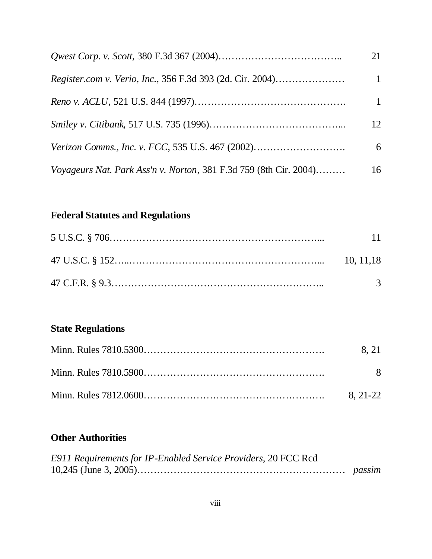|                                                                   | 21           |
|-------------------------------------------------------------------|--------------|
| <i>Register.com v. Verio, Inc., 356 F.3d 393 (2d. Cir. 2004)</i>  |              |
|                                                                   | $\mathbf{1}$ |
|                                                                   | 12           |
|                                                                   | 6            |
| Voyageurs Nat. Park Ass'n v. Norton, 381 F.3d 759 (8th Cir. 2004) | 16           |

# **Federal Statutes and Regulations**

| -11           |
|---------------|
| 10.11.18      |
| $\mathcal{R}$ |

# **State Regulations**

| 8.21         |
|--------------|
| <sup>8</sup> |
| 8. 21-22     |

# **Other Authorities**

| E911 Requirements for IP-Enabled Service Providers, 20 FCC Rcd |  |
|----------------------------------------------------------------|--|
|                                                                |  |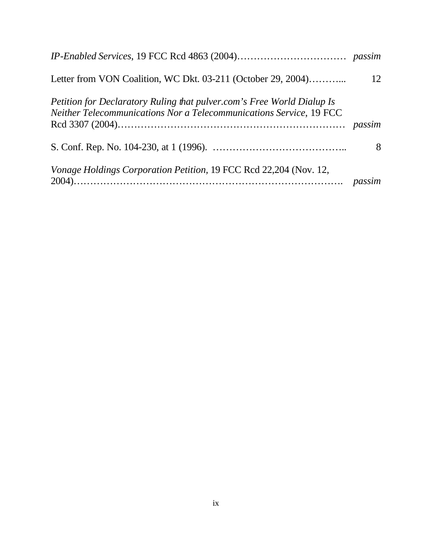| Letter from VON Coalition, WC Dkt. 03-211 (October 29, 2004)                                                                                  | 12 |
|-----------------------------------------------------------------------------------------------------------------------------------------------|----|
| Petition for Declaratory Ruling that pulver.com's Free World Dialup Is<br>Neither Telecommunications Nor a Telecommunications Service, 19 FCC |    |
|                                                                                                                                               | 8  |
| Vonage Holdings Corporation Petition, 19 FCC Rcd 22,204 (Nov. 12,                                                                             |    |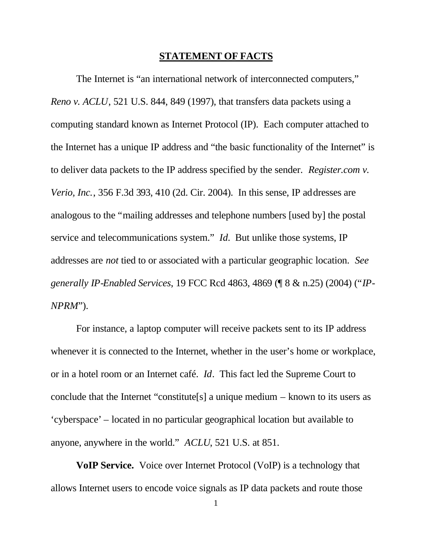### **STATEMENT OF FACTS**

The Internet is "an international network of interconnected computers," *Reno v. ACLU*, 521 U.S. 844, 849 (1997), that transfers data packets using a computing standard known as Internet Protocol (IP). Each computer attached to the Internet has a unique IP address and "the basic functionality of the Internet" is to deliver data packets to the IP address specified by the sender. *Register.com v. Verio, Inc.*, 356 F.3d 393, 410 (2d. Cir. 2004). In this sense, IP addresses are analogous to the "mailing addresses and telephone numbers [used by] the postal service and telecommunications system." *Id.* But unlike those systems, IP addresses are *not* tied to or associated with a particular geographic location. *See generally IP-Enabled Services*, 19 FCC Rcd 4863, 4869 (¶ 8 & n.25) (2004) ("*IP-NPRM*").

For instance, a laptop computer will receive packets sent to its IP address whenever it is connected to the Internet, whether in the user's home or workplace, or in a hotel room or an Internet café. *Id*. This fact led the Supreme Court to conclude that the Internet "constitute[s] a unique medium – known to its users as 'cyberspace' – located in no particular geographical location but available to anyone, anywhere in the world." *ACLU*, 521 U.S. at 851.

**VoIP Service.** Voice over Internet Protocol (VoIP) is a technology that allows Internet users to encode voice signals as IP data packets and route those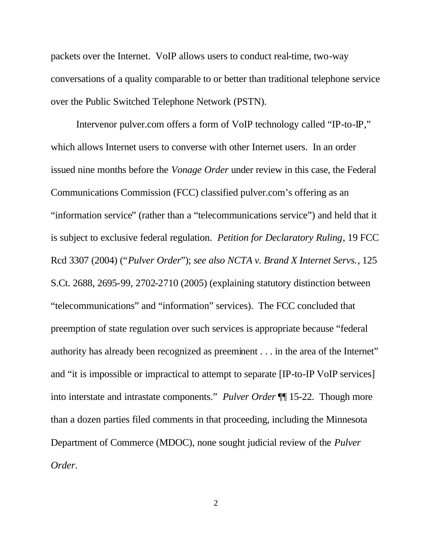packets over the Internet. VoIP allows users to conduct real-time, two-way conversations of a quality comparable to or better than traditional telephone service over the Public Switched Telephone Network (PSTN).

Intervenor pulver.com offers a form of VoIP technology called "IP-to-IP," which allows Internet users to converse with other Internet users. In an order issued nine months before the *Vonage Order* under review in this case, the Federal Communications Commission (FCC) classified pulver.com's offering as an "information service" (rather than a "telecommunications service") and held that it is subject to exclusive federal regulation. *Petition for Declaratory Ruling*, 19 FCC Rcd 3307 (2004) ("*Pulver Order*"); *see also NCTA v. Brand X Internet Servs.*, 125 S.Ct. 2688, 2695-99, 2702-2710 (2005) (explaining statutory distinction between "telecommunications" and "information" services). The FCC concluded that preemption of state regulation over such services is appropriate because "federal authority has already been recognized as preeminent . . . in the area of the Internet" and "it is impossible or impractical to attempt to separate [IP-to-IP VoIP services] into interstate and intrastate components." *Pulver Order* ¶¶ 15-22. Though more than a dozen parties filed comments in that proceeding, including the Minnesota Department of Commerce (MDOC), none sought judicial review of the *Pulver Order*.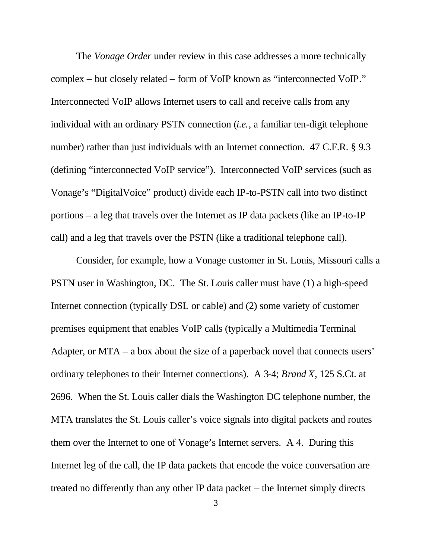The *Vonage Order* under review in this case addresses a more technically complex – but closely related – form of VoIP known as "interconnected VoIP." Interconnected VoIP allows Internet users to call and receive calls from any individual with an ordinary PSTN connection (*i.e.*, a familiar ten-digit telephone number) rather than just individuals with an Internet connection. 47 C.F.R. § 9.3 (defining "interconnected VoIP service"). Interconnected VoIP services (such as Vonage's "DigitalVoice" product) divide each IP-to-PSTN call into two distinct portions – a leg that travels over the Internet as IP data packets (like an IP-to-IP call) and a leg that travels over the PSTN (like a traditional telephone call).

Consider, for example, how a Vonage customer in St. Louis, Missouri calls a PSTN user in Washington, DC. The St. Louis caller must have (1) a high-speed Internet connection (typically DSL or cable) and (2) some variety of customer premises equipment that enables VoIP calls (typically a Multimedia Terminal Adapter, or MTA – a box about the size of a paperback novel that connects users' ordinary telephones to their Internet connections). A 3-4; *Brand X*, 125 S.Ct. at 2696. When the St. Louis caller dials the Washington DC telephone number, the MTA translates the St. Louis caller's voice signals into digital packets and routes them over the Internet to one of Vonage's Internet servers. A 4. During this Internet leg of the call, the IP data packets that encode the voice conversation are treated no differently than any other IP data packet – the Internet simply directs

3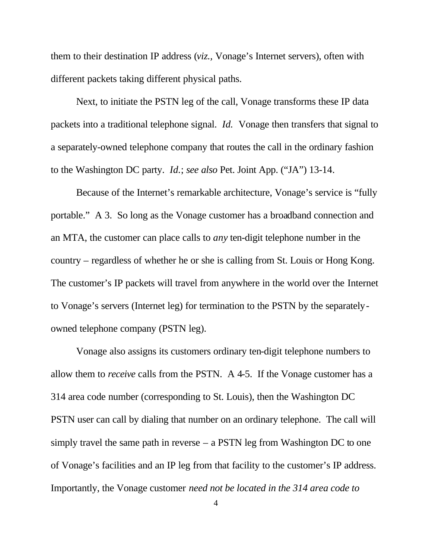them to their destination IP address (*viz.,* Vonage's Internet servers), often with different packets taking different physical paths.

Next, to initiate the PSTN leg of the call, Vonage transforms these IP data packets into a traditional telephone signal. *Id.* Vonage then transfers that signal to a separately-owned telephone company that routes the call in the ordinary fashion to the Washington DC party. *Id.*; *see also* Pet. Joint App. ("JA") 13-14.

Because of the Internet's remarkable architecture, Vonage's service is "fully portable." A 3. So long as the Vonage customer has a broadband connection and an MTA, the customer can place calls to *any* ten-digit telephone number in the country – regardless of whether he or she is calling from St. Louis or Hong Kong. The customer's IP packets will travel from anywhere in the world over the Internet to Vonage's servers (Internet leg) for termination to the PSTN by the separatelyowned telephone company (PSTN leg).

Vonage also assigns its customers ordinary ten-digit telephone numbers to allow them to *receive* calls from the PSTN. A 4-5. If the Vonage customer has a 314 area code number (corresponding to St. Louis), then the Washington DC PSTN user can call by dialing that number on an ordinary telephone. The call will simply travel the same path in reverse  $-$  a PSTN leg from Washington DC to one of Vonage's facilities and an IP leg from that facility to the customer's IP address. Importantly, the Vonage customer *need not be located in the 314 area code to*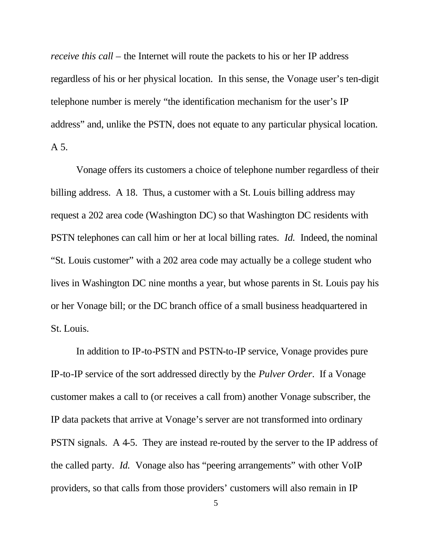*receive this call* – the Internet will route the packets to his or her IP address regardless of his or her physical location. In this sense, the Vonage user's ten-digit telephone number is merely "the identification mechanism for the user's IP address" and, unlike the PSTN, does not equate to any particular physical location. A 5.

Vonage offers its customers a choice of telephone number regardless of their billing address. A 18. Thus, a customer with a St. Louis billing address may request a 202 area code (Washington DC) so that Washington DC residents with PSTN telephones can call him or her at local billing rates. *Id.* Indeed, the nominal "St. Louis customer" with a 202 area code may actually be a college student who lives in Washington DC nine months a year, but whose parents in St. Louis pay his or her Vonage bill; or the DC branch office of a small business headquartered in St. Louis.

In addition to IP-to-PSTN and PSTN-to-IP service, Vonage provides pure IP-to-IP service of the sort addressed directly by the *Pulver Order*. If a Vonage customer makes a call to (or receives a call from) another Vonage subscriber, the IP data packets that arrive at Vonage's server are not transformed into ordinary PSTN signals. A 4-5. They are instead re-routed by the server to the IP address of the called party. *Id.* Vonage also has "peering arrangements" with other VoIP providers, so that calls from those providers' customers will also remain in IP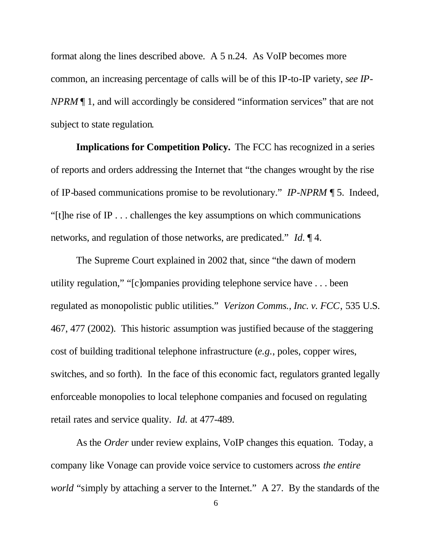format along the lines described above. A 5 n.24. As VoIP becomes more common, an increasing percentage of calls will be of this IP-to-IP variety, *see IP-NPRM* ¶ 1, and will accordingly be considered "information services" that are not subject to state regulation*.*

**Implications for Competition Policy.** The FCC has recognized in a series of reports and orders addressing the Internet that "the changes wrought by the rise of IP-based communications promise to be revolutionary." *IP-NPRM* ¶ 5. Indeed, "[t]he rise of IP . . . challenges the key assumptions on which communications networks, and regulation of those networks, are predicated." *Id.* ¶ 4.

The Supreme Court explained in 2002 that, since "the dawn of modern utility regulation," "[c]ompanies providing telephone service have . . . been regulated as monopolistic public utilities." *Verizon Comms., Inc. v. FCC*, 535 U.S. 467, 477 (2002). This historic assumption was justified because of the staggering cost of building traditional telephone infrastructure (*e.g.*, poles, copper wires, switches, and so forth). In the face of this economic fact, regulators granted legally enforceable monopolies to local telephone companies and focused on regulating retail rates and service quality. *Id.* at 477-489.

As the *Order* under review explains, VoIP changes this equation. Today, a company like Vonage can provide voice service to customers across *the entire world* "simply by attaching a server to the Internet." A 27. By the standards of the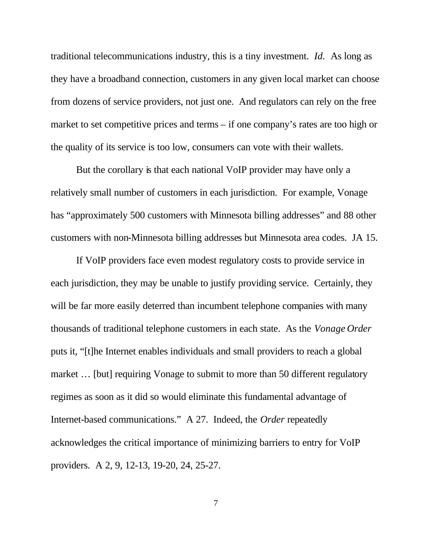traditional telecommunications industry, this is a tiny investment. *Id.* As long as they have a broadband connection, customers in any given local market can choose from dozens of service providers, not just one. And regulators can rely on the free market to set competitive prices and terms – if one company's rates are too high or the quality of its service is too low, consumers can vote with their wallets.

But the corollary is that each national VoIP provider may have only a relatively small number of customers in each jurisdiction. For example, Vonage has "approximately 500 customers with Minnesota billing addresses" and 88 other customers with non-Minnesota billing addresses but Minnesota area codes. JA 15.

If VoIP providers face even modest regulatory costs to provide service in each jurisdiction, they may be unable to justify providing service. Certainly, they will be far more easily deterred than incumbent telephone companies with many thousands of traditional telephone customers in each state. As the *Vonage Order*  puts it, "[t]he Internet enables individuals and small providers to reach a global market ... [but] requiring Vonage to submit to more than 50 different regulatory regimes as soon as it did so would eliminate this fundamental advantage of Internet-based communications." A 27. Indeed, the *Order* repeatedly acknowledges the critical importance of minimizing barriers to entry for VoIP providers. A 2, 9, 12-13, 19-20, 24, 25-27.

7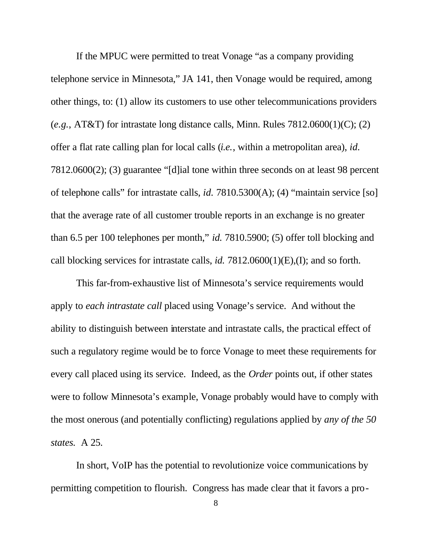If the MPUC were permitted to treat Vonage "as a company providing telephone service in Minnesota," JA 141, then Vonage would be required, among other things, to: (1) allow its customers to use other telecommunications providers (*e.g.*, AT&T) for intrastate long distance calls, Minn. Rules 7812.0600(1)(C); (2) offer a flat rate calling plan for local calls (*i.e.*, within a metropolitan area), *id.*  7812.0600(2); (3) guarantee "[d]ial tone within three seconds on at least 98 percent of telephone calls" for intrastate calls, *id.* 7810.5300(A); (4) "maintain service [so] that the average rate of all customer trouble reports in an exchange is no greater than 6.5 per 100 telephones per month," *id.* 7810.5900; (5) offer toll blocking and call blocking services for intrastate calls, *id.* 7812.0600(1)(E),(I); and so forth.

This far-from-exhaustive list of Minnesota's service requirements would apply to *each intrastate call* placed using Vonage's service. And without the ability to distinguish between interstate and intrastate calls, the practical effect of such a regulatory regime would be to force Vonage to meet these requirements for every call placed using its service. Indeed, as the *Order* points out, if other states were to follow Minnesota's example, Vonage probably would have to comply with the most onerous (and potentially conflicting) regulations applied by *any of the 50 states.* A 25.

In short, VoIP has the potential to revolutionize voice communications by permitting competition to flourish. Congress has made clear that it favors a pro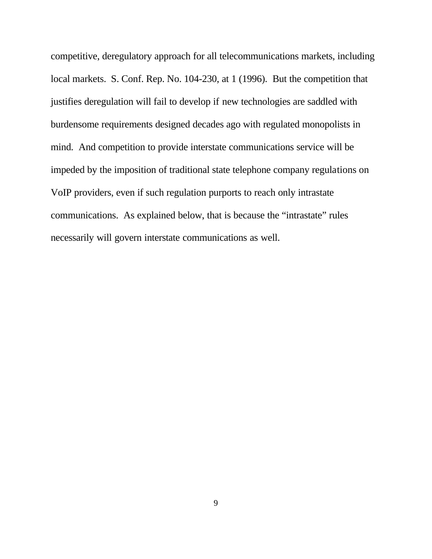competitive, deregulatory approach for all telecommunications markets, including local markets. S. Conf. Rep. No. 104-230, at 1 (1996). But the competition that justifies deregulation will fail to develop if new technologies are saddled with burdensome requirements designed decades ago with regulated monopolists in mind. And competition to provide interstate communications service will be impeded by the imposition of traditional state telephone company regulations on VoIP providers, even if such regulation purports to reach only intrastate communications. As explained below, that is because the "intrastate" rules necessarily will govern interstate communications as well.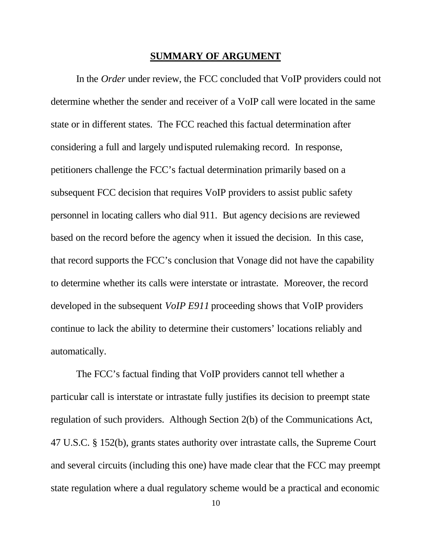### **SUMMARY OF ARGUMENT**

In the *Order* under review, the FCC concluded that VoIP providers could not determine whether the sender and receiver of a VoIP call were located in the same state or in different states. The FCC reached this factual determination after considering a full and largely undisputed rulemaking record. In response, petitioners challenge the FCC's factual determination primarily based on a subsequent FCC decision that requires VoIP providers to assist public safety personnel in locating callers who dial 911. But agency decisions are reviewed based on the record before the agency when it issued the decision. In this case, that record supports the FCC's conclusion that Vonage did not have the capability to determine whether its calls were interstate or intrastate. Moreover, the record developed in the subsequent *VoIP E911* proceeding shows that VoIP providers continue to lack the ability to determine their customers' locations reliably and automatically.

The FCC's factual finding that VoIP providers cannot tell whether a particular call is interstate or intrastate fully justifies its decision to preempt state regulation of such providers. Although Section 2(b) of the Communications Act, 47 U.S.C. § 152(b), grants states authority over intrastate calls, the Supreme Court and several circuits (including this one) have made clear that the FCC may preempt state regulation where a dual regulatory scheme would be a practical and economic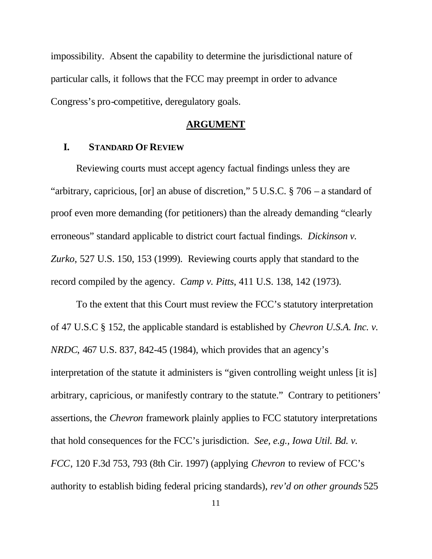impossibility. Absent the capability to determine the jurisdictional nature of particular calls, it follows that the FCC may preempt in order to advance Congress's pro-competitive, deregulatory goals.

### **ARGUMENT**

### **I. STANDARD OF REVIEW**

Reviewing courts must accept agency factual findings unless they are "arbitrary, capricious, [or] an abuse of discretion," 5 U.S.C. § 706 – a standard of proof even more demanding (for petitioners) than the already demanding "clearly erroneous" standard applicable to district court factual findings. *Dickinson v. Zurko*, 527 U.S. 150, 153 (1999). Reviewing courts apply that standard to the record compiled by the agency. *Camp v. Pitts*, 411 U.S. 138, 142 (1973).

To the extent that this Court must review the FCC's statutory interpretation of 47 U.S.C § 152, the applicable standard is established by *Chevron U.S.A. Inc. v. NRDC*, 467 U.S. 837, 842-45 (1984), which provides that an agency's interpretation of the statute it administers is "given controlling weight unless [it is] arbitrary, capricious, or manifestly contrary to the statute." Contrary to petitioners' assertions, the *Chevron* framework plainly applies to FCC statutory interpretations that hold consequences for the FCC's jurisdiction. *See, e.g., Iowa Util. Bd. v. FCC*, 120 F.3d 753, 793 (8th Cir. 1997) (applying *Chevron* to review of FCC's authority to establish biding federal pricing standards), *rev'd on other grounds* 525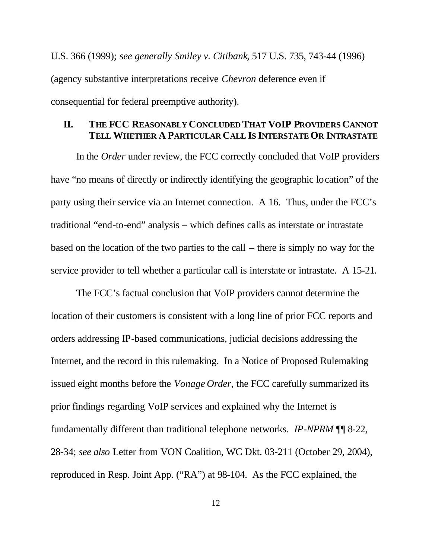U.S. 366 (1999); *see generally Smiley v. Citibank*, 517 U.S. 735, 743-44 (1996) (agency substantive interpretations receive *Chevron* deference even if consequential for federal preemptive authority).

## **II. THE FCC REASONABLY CONCLUDED THAT VOIP PROVIDERS CANNOT TELL WHETHER A PARTICULAR CALL IS INTERSTATE OR INTRASTATE**

In the *Order* under review, the FCC correctly concluded that VoIP providers have "no means of directly or indirectly identifying the geographic location" of the party using their service via an Internet connection. A 16. Thus, under the FCC's traditional "end-to-end" analysis – which defines calls as interstate or intrastate based on the location of the two parties to the call – there is simply no way for the service provider to tell whether a particular call is interstate or intrastate. A 15-21.

The FCC's factual conclusion that VoIP providers cannot determine the location of their customers is consistent with a long line of prior FCC reports and orders addressing IP-based communications, judicial decisions addressing the Internet, and the record in this rulemaking. In a Notice of Proposed Rulemaking issued eight months before the *Vonage Order*, the FCC carefully summarized its prior findings regarding VoIP services and explained why the Internet is fundamentally different than traditional telephone networks. *IP-NPRM* ¶¶ 8-22, 28-34; *see also* Letter from VON Coalition, WC Dkt. 03-211 (October 29, 2004), reproduced in Resp. Joint App. ("RA") at 98-104. As the FCC explained, the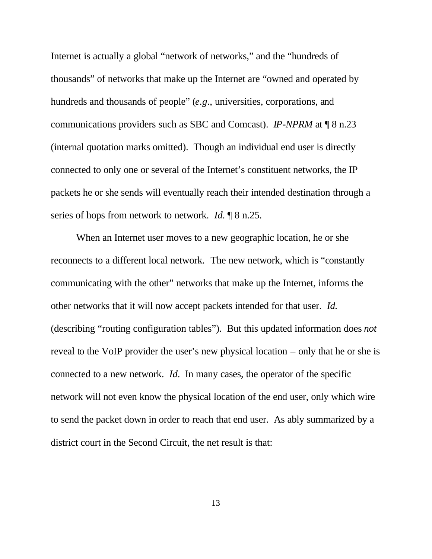Internet is actually a global "network of networks," and the "hundreds of thousands" of networks that make up the Internet are "owned and operated by hundreds and thousands of people" (*e.g*., universities, corporations, and communications providers such as SBC and Comcast). *IP-NPRM* at ¶ 8 n.23 (internal quotation marks omitted). Though an individual end user is directly connected to only one or several of the Internet's constituent networks, the IP packets he or she sends will eventually reach their intended destination through a series of hops from network to network. *Id.* **[8** n.25.]

When an Internet user moves to a new geographic location, he or she reconnects to a different local network.The new network, which is "constantly communicating with the other" networks that make up the Internet, informs the other networks that it will now accept packets intended for that user. *Id.* (describing "routing configuration tables"). But this updated information does *not*  reveal to the VoIP provider the user's new physical location – only that he or she is connected to a new network. *Id.* In many cases, the operator of the specific network will not even know the physical location of the end user, only which wire to send the packet down in order to reach that end user. As ably summarized by a district court in the Second Circuit, the net result is that: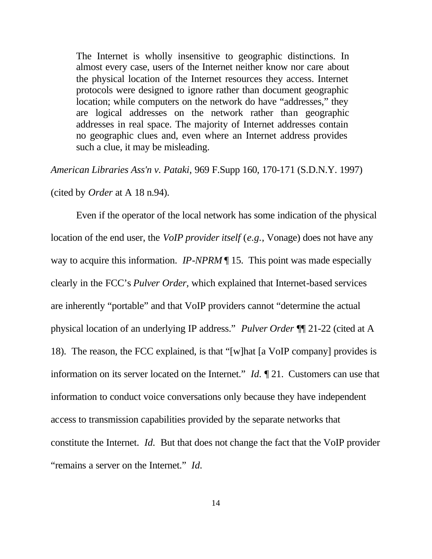The Internet is wholly insensitive to geographic distinctions. In almost every case, users of the Internet neither know nor care about the physical location of the Internet resources they access. Internet protocols were designed to ignore rather than document geographic location; while computers on the network do have "addresses," they are logical addresses on the network rather than geographic addresses in real space. The majority of Internet addresses contain no geographic clues and, even where an Internet address provides such a clue, it may be misleading.

*American Libraries Ass'n v. Pataki*, 969 F.Supp 160, 170-171 (S.D.N.Y. 1997)

(cited by *Order* at A 18 n.94).

Even if the operator of the local network has some indication of the physical location of the end user, the *VoIP provider itself* (*e.g.*, Vonage) does not have any way to acquire this information. *IP-NPRM* ¶ 15. This point was made especially clearly in the FCC's *Pulver Order,* which explained that Internet-based services are inherently "portable" and that VoIP providers cannot "determine the actual physical location of an underlying IP address." *Pulver Order* ¶¶ 21-22 (cited at A 18). The reason, the FCC explained, is that "[w]hat [a VoIP company] provides is information on its server located on the Internet." *Id.* ¶ 21. Customers can use that information to conduct voice conversations only because they have independent access to transmission capabilities provided by the separate networks that constitute the Internet. *Id.* But that does not change the fact that the VoIP provider "remains a server on the Internet." *Id.*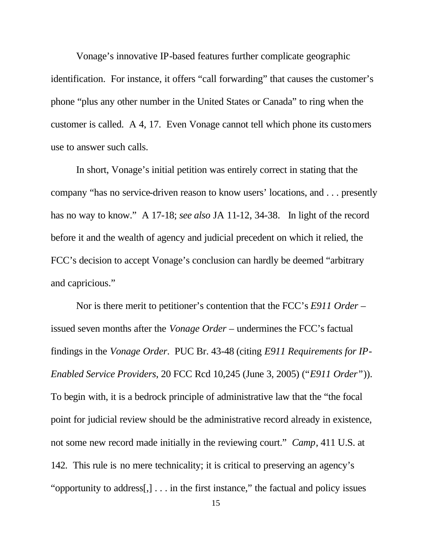Vonage's innovative IP-based features further complicate geographic identification. For instance, it offers "call forwarding" that causes the customer's phone "plus any other number in the United States or Canada" to ring when the customer is called. A 4, 17. Even Vonage cannot tell which phone its customers use to answer such calls.

In short, Vonage's initial petition was entirely correct in stating that the company "has no service-driven reason to know users' locations, and . . . presently has no way to know." A 17-18; *see also* JA 11-12, 34-38. In light of the record before it and the wealth of agency and judicial precedent on which it relied, the FCC's decision to accept Vonage's conclusion can hardly be deemed "arbitrary and capricious."

Nor is there merit to petitioner's contention that the FCC's *E911 Order* – issued seven months after the *Vonage Order* – undermines the FCC's factual findings in the *Vonage Order*. PUC Br. 43-48 (citing *E911 Requirements for IP-Enabled Service Providers*, 20 FCC Rcd 10,245 (June 3, 2005) ("*E911 Order"*)). To begin with, it is a bedrock principle of administrative law that the "the focal point for judicial review should be the administrative record already in existence, not some new record made initially in the reviewing court." *Camp*, 411 U.S. at 142. This rule is no mere technicality; it is critical to preserving an agency's "opportunity to address[,] . . . in the first instance," the factual and policy issues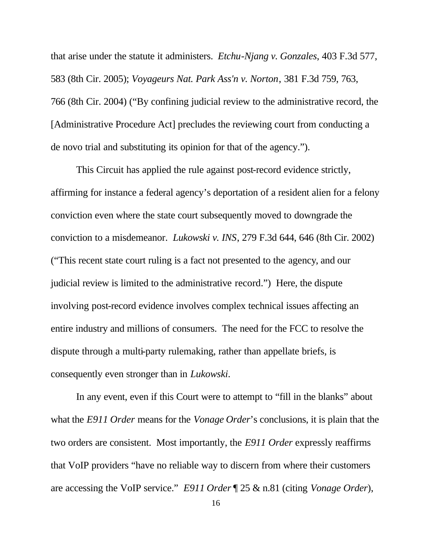that arise under the statute it administers. *Etchu-Njang v. Gonzales*, 403 F.3d 577, 583 (8th Cir. 2005); *Voyageurs Nat. Park Ass'n v. Norton*, 381 F.3d 759, 763, 766 (8th Cir. 2004) ("By confining judicial review to the administrative record, the [Administrative Procedure Act] precludes the reviewing court from conducting a de novo trial and substituting its opinion for that of the agency.").

This Circuit has applied the rule against post-record evidence strictly, affirming for instance a federal agency's deportation of a resident alien for a felony conviction even where the state court subsequently moved to downgrade the conviction to a misdemeanor. *Lukowski v. INS*, 279 F.3d 644, 646 (8th Cir. 2002) ("This recent state court ruling is a fact not presented to the agency, and our judicial review is limited to the administrative record.") Here, the dispute involving post-record evidence involves complex technical issues affecting an entire industry and millions of consumers. The need for the FCC to resolve the dispute through a multi-party rulemaking, rather than appellate briefs, is consequently even stronger than in *Lukowski*.

In any event, even if this Court were to attempt to "fill in the blanks" about what the *E911 Order* means for the *Vonage Order*'s conclusions, it is plain that the two orders are consistent. Most importantly, the *E911 Order* expressly reaffirms that VoIP providers "have no reliable way to discern from where their customers are accessing the VoIP service." *E911 Order* ¶ 25 & n.81 (citing *Vonage Order*),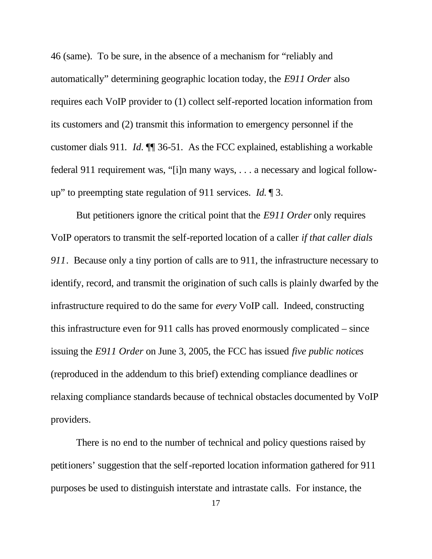46 (same). To be sure, in the absence of a mechanism for "reliably and automatically" determining geographic location today, the *E911 Order* also requires each VoIP provider to (1) collect self-reported location information from its customers and (2) transmit this information to emergency personnel if the customer dials 911*. Id.* ¶¶ 36-51. As the FCC explained, establishing a workable federal 911 requirement was, "[i]n many ways, . . . a necessary and logical followup" to preempting state regulation of 911 services. *Id.* ¶ 3.

But petitioners ignore the critical point that the *E911 Order* only requires VoIP operators to transmit the self-reported location of a caller *if that caller dials 911*. Because only a tiny portion of calls are to 911, the infrastructure necessary to identify, record, and transmit the origination of such calls is plainly dwarfed by the infrastructure required to do the same for *every* VoIP call. Indeed, constructing this infrastructure even for 911 calls has proved enormously complicated – since issuing the *E911 Order* on June 3, 2005, the FCC has issued *five public notices* (reproduced in the addendum to this brief) extending compliance deadlines or relaxing compliance standards because of technical obstacles documented by VoIP providers.

There is no end to the number of technical and policy questions raised by petitioners' suggestion that the self-reported location information gathered for 911 purposes be used to distinguish interstate and intrastate calls. For instance, the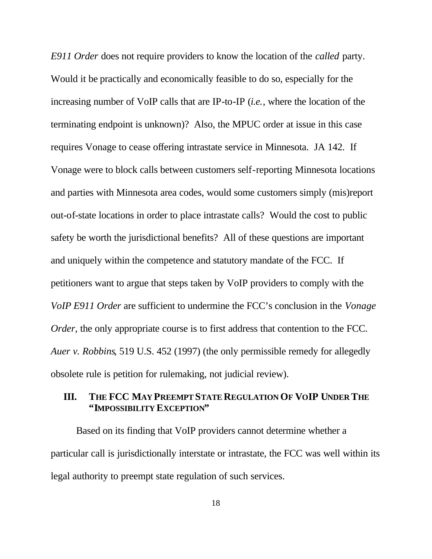*E911 Order* does not require providers to know the location of the *called* party. Would it be practically and economically feasible to do so, especially for the increasing number of VoIP calls that are IP-to-IP (*i.e.*, where the location of the terminating endpoint is unknown)? Also, the MPUC order at issue in this case requires Vonage to cease offering intrastate service in Minnesota. JA 142. If Vonage were to block calls between customers self-reporting Minnesota locations and parties with Minnesota area codes, would some customers simply (mis)report out-of-state locations in order to place intrastate calls? Would the cost to public safety be worth the jurisdictional benefits? All of these questions are important and uniquely within the competence and statutory mandate of the FCC. If petitioners want to argue that steps taken by VoIP providers to comply with the *VoIP E911 Order* are sufficient to undermine the FCC's conclusion in the *Vonage Order*, the only appropriate course is to first address that contention to the FCC. *Auer v. Robbins*, 519 U.S. 452 (1997) (the only permissible remedy for allegedly obsolete rule is petition for rulemaking, not judicial review).

## **III. THE FCC MAY PREEMPT STATE REGULATION OF VOIP UNDER THE "IMPOSSIBILITY EXCEPTION"**

Based on its finding that VoIP providers cannot determine whether a particular call is jurisdictionally interstate or intrastate, the FCC was well within its legal authority to preempt state regulation of such services.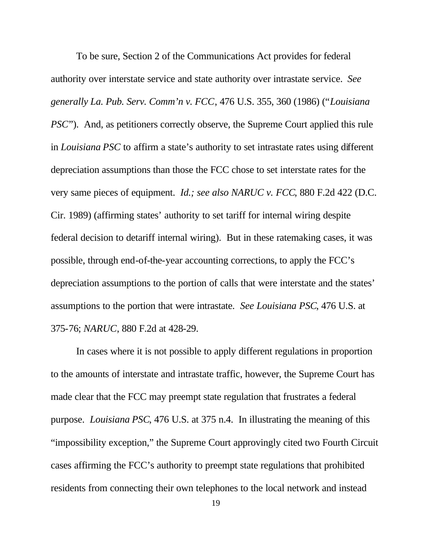To be sure, Section 2 of the Communications Act provides for federal authority over interstate service and state authority over intrastate service. *See generally La. Pub. Serv. Comm'n v. FCC*, 476 U.S. 355, 360 (1986) ("*Louisiana PSC*"). And, as petitioners correctly observe, the Supreme Court applied this rule in *Louisiana PSC* to affirm a state's authority to set intrastate rates using different depreciation assumptions than those the FCC chose to set interstate rates for the very same pieces of equipment. *Id.; see also NARUC v. FCC*, 880 F.2d 422 (D.C. Cir. 1989) (affirming states' authority to set tariff for internal wiring despite federal decision to detariff internal wiring). But in these ratemaking cases, it was possible, through end-of-the-year accounting corrections, to apply the FCC's depreciation assumptions to the portion of calls that were interstate and the states' assumptions to the portion that were intrastate. *See Louisiana PSC*, 476 U.S. at 375-76; *NARUC*, 880 F.2d at 428-29.

In cases where it is not possible to apply different regulations in proportion to the amounts of interstate and intrastate traffic, however, the Supreme Court has made clear that the FCC may preempt state regulation that frustrates a federal purpose. *Louisiana PSC*, 476 U.S. at 375 n.4. In illustrating the meaning of this "impossibility exception," the Supreme Court approvingly cited two Fourth Circuit cases affirming the FCC's authority to preempt state regulations that prohibited residents from connecting their own telephones to the local network and instead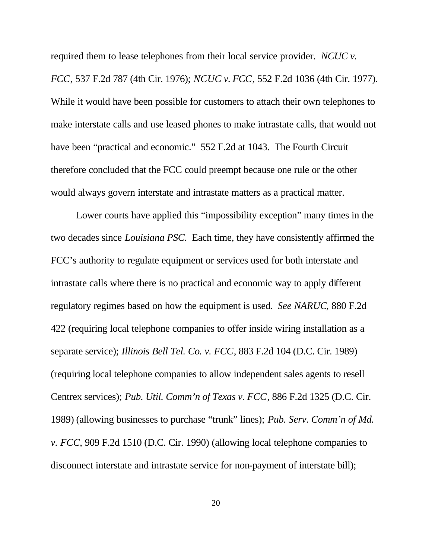required them to lease telephones from their local service provider. *NCUC v. FCC*, 537 F.2d 787 (4th Cir. 1976); *NCUC v. FCC*, 552 F.2d 1036 (4th Cir. 1977). While it would have been possible for customers to attach their own telephones to make interstate calls and use leased phones to make intrastate calls, that would not have been "practical and economic." 552 F.2d at 1043. The Fourth Circuit therefore concluded that the FCC could preempt because one rule or the other would always govern interstate and intrastate matters as a practical matter.

Lower courts have applied this "impossibility exception" many times in the two decades since *Louisiana PSC.* Each time, they have consistently affirmed the FCC's authority to regulate equipment or services used for both interstate and intrastate calls where there is no practical and economic way to apply different regulatory regimes based on how the equipment is used. *See NARUC*, 880 F.2d 422 (requiring local telephone companies to offer inside wiring installation as a separate service); *Illinois Bell Tel. Co. v. FCC*, 883 F.2d 104 (D.C. Cir. 1989) (requiring local telephone companies to allow independent sales agents to resell Centrex services); *Pub. Util. Comm'n of Texas v. FCC*, 886 F.2d 1325 (D.C. Cir. 1989) (allowing businesses to purchase "trunk" lines); *Pub. Serv. Comm'n of Md. v. FCC*, 909 F.2d 1510 (D.C. Cir. 1990) (allowing local telephone companies to disconnect interstate and intrastate service for non-payment of interstate bill);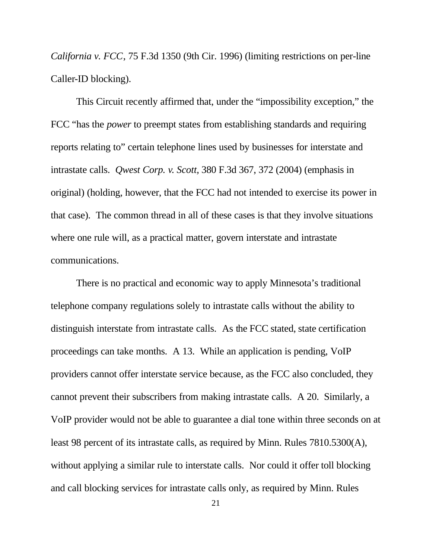*California v. FCC*, 75 F.3d 1350 (9th Cir. 1996) (limiting restrictions on per-line Caller-ID blocking).

This Circuit recently affirmed that, under the "impossibility exception," the FCC "has the *power* to preempt states from establishing standards and requiring reports relating to" certain telephone lines used by businesses for interstate and intrastate calls. *Qwest Corp. v. Scott,* 380 F.3d 367, 372 (2004) (emphasis in original) (holding, however, that the FCC had not intended to exercise its power in that case). The common thread in all of these cases is that they involve situations where one rule will, as a practical matter, govern interstate and intrastate communications.

There is no practical and economic way to apply Minnesota's traditional telephone company regulations solely to intrastate calls without the ability to distinguish interstate from intrastate calls. As the FCC stated, state certification proceedings can take months. A 13. While an application is pending, VoIP providers cannot offer interstate service because, as the FCC also concluded, they cannot prevent their subscribers from making intrastate calls. A 20. Similarly, a VoIP provider would not be able to guarantee a dial tone within three seconds on at least 98 percent of its intrastate calls, as required by Minn. Rules 7810.5300(A), without applying a similar rule to interstate calls. Nor could it offer toll blocking and call blocking services for intrastate calls only, as required by Minn. Rules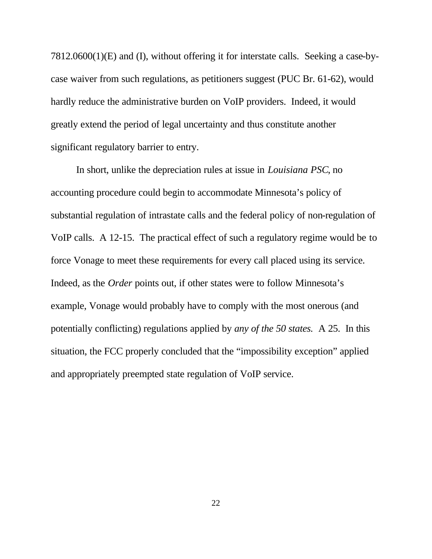7812.0600(1)(E) and (I), without offering it for interstate calls. Seeking a case-bycase waiver from such regulations, as petitioners suggest (PUC Br. 61-62), would hardly reduce the administrative burden on VoIP providers. Indeed, it would greatly extend the period of legal uncertainty and thus constitute another significant regulatory barrier to entry.

In short, unlike the depreciation rules at issue in *Louisiana PSC*, no accounting procedure could begin to accommodate Minnesota's policy of substantial regulation of intrastate calls and the federal policy of non-regulation of VoIP calls. A 12-15. The practical effect of such a regulatory regime would be to force Vonage to meet these requirements for every call placed using its service. Indeed, as the *Order* points out, if other states were to follow Minnesota's example, Vonage would probably have to comply with the most onerous (and potentially conflicting) regulations applied by *any of the 50 states.* A 25. In this situation, the FCC properly concluded that the "impossibility exception" applied and appropriately preempted state regulation of VoIP service.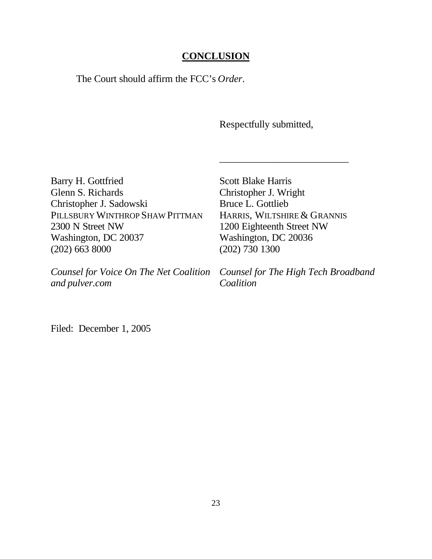## **CONCLUSION**

The Court should affirm the FCC's *Order*.

Respectfully submitted,

Barry H. Gottfried Glenn S. Richards Christopher J. Sadowski PILLSBURY WINTHROP SHAW PITTMAN 2300 N Street NW Washington, DC 20037 (202) 663 8000

*Counsel for Voice On The Net Coalition and pulver.com*

Scott Blake Harris Christopher J. Wright Bruce L. Gottlieb HARRIS, WILTSHIRE & GRANNIS 1200 Eighteenth Street NW Washington, DC 20036 (202) 730 1300

\_\_\_\_\_\_\_\_\_\_\_\_\_\_\_\_\_\_\_\_\_\_\_\_\_\_

*Counsel for The High Tech Broadband Coalition*

Filed: December 1, 2005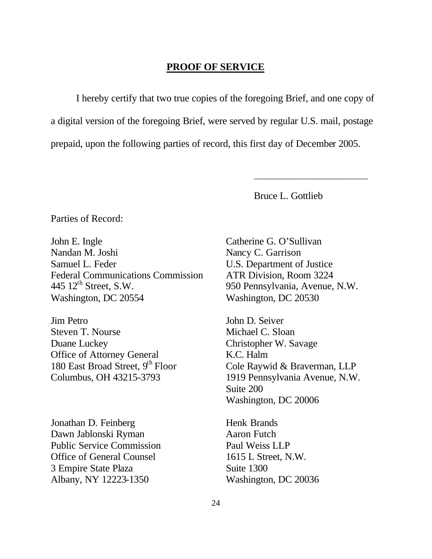## **PROOF OF SERVICE**

I hereby certify that two true copies of the foregoing Brief, and one copy of a digital version of the foregoing Brief, were served by regular U.S. mail, postage prepaid, upon the following parties of record, this first day of December 2005.

Bruce L. Gottlieb

\_\_\_\_\_\_\_\_\_\_\_\_\_\_\_\_\_\_\_\_\_\_\_\_\_\_\_

Parties of Record:

John E. Ingle Nandan M. Joshi Samuel L. Feder Federal Communications Commission 445  $12<sup>th</sup>$  Street, S.W. Washington, DC 20554

Jim Petro Steven T. Nourse Duane Luckey Office of Attorney General 180 East Broad Street,  $9<sup>th</sup>$  Floor Columbus, OH 43215-3793

Jonathan D. Feinberg Dawn Jablonski Ryman Public Service Commission Office of General Counsel 3 Empire State Plaza Albany, NY 12223-1350

Catherine G. O'Sullivan Nancy C. Garrison U.S. Department of Justice ATR Division, Room 3224 950 Pennsylvania, Avenue, N.W. Washington, DC 20530

John D. Seiver Michael C. Sloan Christopher W. Savage K.C. Halm Cole Raywid & Braverman, LLP 1919 Pennsylvania Avenue, N.W. Suite 200 Washington, DC 20006

Henk Brands Aaron Futch Paul Weiss LLP 1615 L Street, N.W. Suite 1300 Washington, DC 20036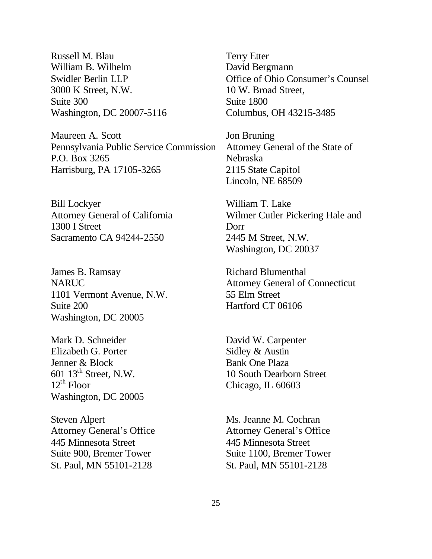Russell M. Blau William B. Wilhelm Swidler Berlin LLP 3000 K Street, N.W. Suite 300 Washington, DC 20007-5116

Maureen A. Scott Pennsylvania Public Service Commission P.O. Box 3265 Harrisburg, PA 17105-3265

Bill Lockyer Attorney General of California 1300 I Street Sacramento CA 94244-2550

James B. Ramsay NARUC 1101 Vermont Avenue, N.W. Suite 200 Washington, DC 20005

Mark D. Schneider Elizabeth G. Porter Jenner & Block 601 13<sup>th</sup> Street, N.W.  $12^{th}$  Floor Washington, DC 20005

Steven Alpert Attorney General's Office 445 Minnesota Street Suite 900, Bremer Tower St. Paul, MN 55101-2128

Terry Etter David Bergmann Office of Ohio Consumer's Counsel 10 W. Broad Street, Suite 1800 Columbus, OH 43215-3485

Jon Bruning Attorney General of the State of Nebraska 2115 State Capitol Lincoln, NE 68509

William T. Lake Wilmer Cutler Pickering Hale and Dorr 2445 M Street, N.W. Washington, DC 20037

Richard Blumenthal Attorney General of Connecticut 55 Elm Street Hartford CT 06106

David W. Carpenter Sidley & Austin Bank One Plaza 10 South Dearborn Street Chicago, IL 60603

Ms. Jeanne M. Cochran Attorney General's Office 445 Minnesota Street Suite 1100, Bremer Tower St. Paul, MN 55101-2128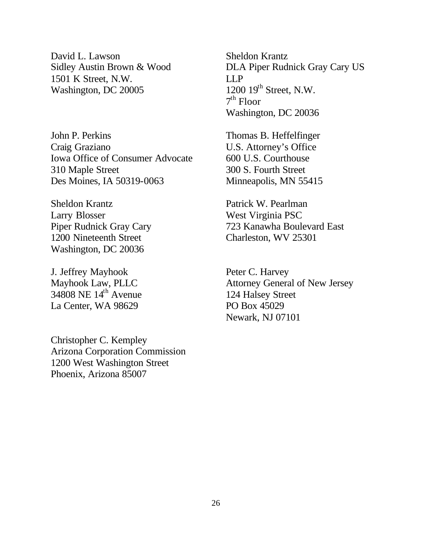David L. Lawson Sidley Austin Brown & Wood 1501 K Street, N.W. Washington, DC 20005

John P. Perkins Craig Graziano Iowa Office of Consumer Advocate 310 Maple Street Des Moines, IA 50319-0063

Sheldon Krantz Larry Blosser Piper Rudnick Gray Cary 1200 Nineteenth Street Washington, DC 20036

J. Jeffrey Mayhook Mayhook Law, PLLC 34808 NE 14<sup>th</sup> Avenue La Center, WA 98629

Christopher C. Kempley Arizona Corporation Commission 1200 West Washington Street Phoenix, Arizona 85007

Sheldon Krantz DLA Piper Rudnick Gray Cary US LLP  $1200 \; 19^{th}$  Street, N.W. 7 th Floor Washington, DC 20036

Thomas B. Heffelfinger U.S. Attorney's Office 600 U.S. Courthouse 300 S. Fourth Street Minneapolis, MN 55415

Patrick W. Pearlman West Virginia PSC 723 Kanawha Boulevard East Charleston, WV 25301

Peter C. Harvey Attorney General of New Jersey 124 Halsey Street PO Box 45029 Newark, NJ 07101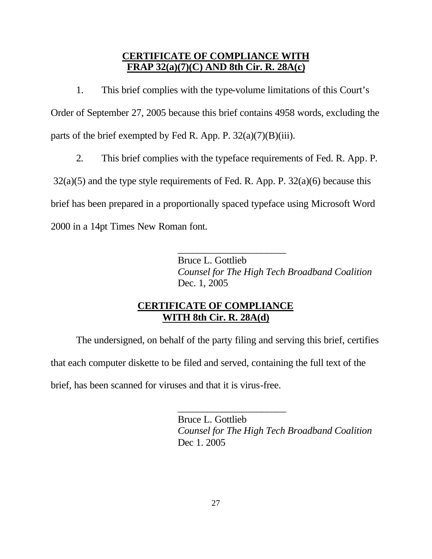## **CERTIFICATE OF COMPLIANCE WITH FRAP 32(a)(7)(C) AND 8th Cir. R. 28A(c)**

1. This brief complies with the type-volume limitations of this Court's Order of September 27, 2005 because this brief contains 4958 words, excluding the parts of the brief exempted by Fed R. App. P.  $32(a)(7)(B)(iii)$ .

2. This brief complies with the typeface requirements of Fed. R. App. P.

 $32(a)(5)$  and the type style requirements of Fed. R. App. P.  $32(a)(6)$  because this brief has been prepared in a proportionally spaced typeface using Microsoft Word 2000 in a 14pt Times New Roman font.

> $\overline{\phantom{a}}$  , where  $\overline{\phantom{a}}$  , where  $\overline{\phantom{a}}$  , where  $\overline{\phantom{a}}$ Bruce L. Gottlieb *Counsel for The High Tech Broadband Coalition* Dec. 1, 2005

# **CERTIFICATE OF COMPLIANCE WITH 8th Cir. R. 28A(d)**

The undersigned, on behalf of the party filing and serving this brief, certifies that each computer diskette to be filed and served, containing the full text of the

 $\overline{\phantom{a}}$  , where  $\overline{\phantom{a}}$  , where  $\overline{\phantom{a}}$  , where  $\overline{\phantom{a}}$ 

brief, has been scanned for viruses and that it is virus-free.

Bruce L. Gottlieb *Counsel for The High Tech Broadband Coalition* Dec 1. 2005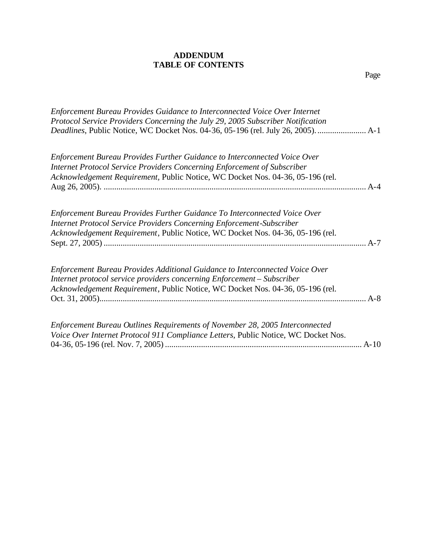### **ADDENDUM TABLE OF CONTENTS**

Page

| <b>Enforcement Bureau Provides Guidance to Interconnected Voice Over Internet</b><br>Protocol Service Providers Concerning the July 29, 2005 Subscriber Notification |       |
|----------------------------------------------------------------------------------------------------------------------------------------------------------------------|-------|
| Enforcement Bureau Provides Further Guidance to Interconnected Voice Over                                                                                            |       |
| Internet Protocol Service Providers Concerning Enforcement of Subscriber                                                                                             |       |
| Acknowledgement Requirement, Public Notice, WC Docket Nos. 04-36, 05-196 (rel.                                                                                       |       |
|                                                                                                                                                                      |       |
| Enforcement Bureau Provides Further Guidance To Interconnected Voice Over                                                                                            |       |
| <b>Internet Protocol Service Providers Concerning Enforcement-Subscriber</b>                                                                                         |       |
| Acknowledgement Requirement, Public Notice, WC Docket Nos. 04-36, 05-196 (rel.                                                                                       |       |
|                                                                                                                                                                      |       |
| Enforcement Bureau Provides Additional Guidance to Interconnected Voice Over                                                                                         |       |
| Internet protocol service providers concerning Enforcement - Subscriber                                                                                              |       |
| Acknowledgement Requirement, Public Notice, WC Docket Nos. 04-36, 05-196 (rel.                                                                                       |       |
|                                                                                                                                                                      | $A-8$ |
| Enforcement Bureau Outlines Requirements of November 28, 2005 Interconnected                                                                                         |       |
| Voice Over Internet Protocol 911 Compliance Letters, Public Notice, WC Docket Nos.                                                                                   |       |

04-36, 05-196 (rel. Nov. 7, 2005) ............................................................................................. A-10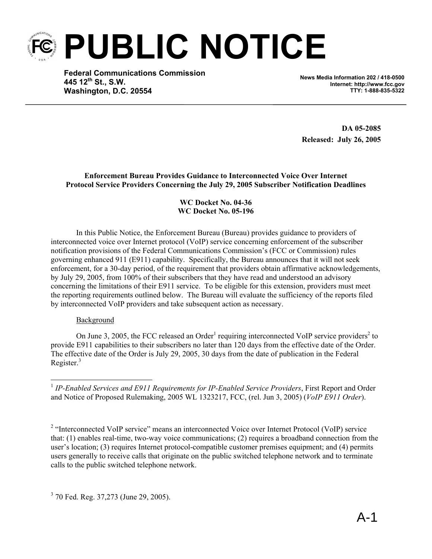**PUBLIC NOTICE** 

**Federal Communications Commission 445 12th St., S.W. Washington, D.C. 20554**

**News Media Information 202 / 418-0500 Internet: http://www.fcc.gov TTY: 1-888-835-5322**

**DA 05-2085 Released: July 26, 2005** 

**Enforcement Bureau Provides Guidance to Interconnected Voice Over Internet Protocol Service Providers Concerning the July 29, 2005 Subscriber Notification Deadlines** 

### **WC Docket No. 04-36 WC Docket No. 05-196**

In this Public Notice, the Enforcement Bureau (Bureau) provides guidance to providers of interconnected voice over Internet protocol (VoIP) service concerning enforcement of the subscriber notification provisions of the Federal Communications Commission's (FCC or Commission) rules governing enhanced 911 (E911) capability. Specifically, the Bureau announces that it will not seek enforcement, for a 30-day period, of the requirement that providers obtain affirmative acknowledgements, by July 29, 2005, from 100% of their subscribers that they have read and understood an advisory concerning the limitations of their E911 service. To be eligible for this extension, providers must meet the reporting requirements outlined below. The Bureau will evaluate the sufficiency of the reports filed by interconnected VoIP providers and take subsequent action as necessary.

### Background

1

On June 3, 2005, the FCC released an Order<sup>1</sup> requiring interconnected VoIP service providers<sup>2</sup> to provide E911 capabilities to their subscribers no later than 120 days from the effective date of the Order. The effective date of the Order is July 29, 2005, 30 days from the date of publication in the Federal Register.<sup>3</sup>

<sup>1</sup> IP-Enabled Services and E911 Requirements for IP-Enabled Service Providers, First Report and Order and Notice of Proposed Rulemaking, 2005 WL 1323217, FCC, (rel. Jun 3, 2005) (*VoIP E911 Order*).

<sup>2</sup> "Interconnected VoIP service" means an interconnected Voice over Internet Protocol (VoIP) service that: (1) enables real-time, two-way voice communications; (2) requires a broadband connection from the user's location; (3) requires Internet protocol-compatible customer premises equipment; and (4) permits users generally to receive calls that originate on the public switched telephone network and to terminate calls to the public switched telephone network.

<sup>3</sup> 70 Fed. Reg. 37,273 (June 29, 2005).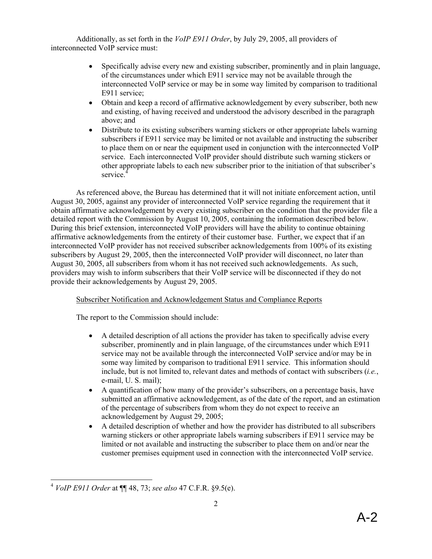Additionally, as set forth in the *VoIP E911 Order*, by July 29, 2005, all providers of interconnected VoIP service must:

- Specifically advise every new and existing subscriber, prominently and in plain language, of the circumstances under which E911 service may not be available through the interconnected VoIP service or may be in some way limited by comparison to traditional E911 service;
- Obtain and keep a record of affirmative acknowledgement by every subscriber, both new and existing, of having received and understood the advisory described in the paragraph above; and
- Distribute to its existing subscribers warning stickers or other appropriate labels warning subscribers if E911 service may be limited or not available and instructing the subscriber to place them on or near the equipment used in conjunction with the interconnected VoIP service. Each interconnected VoIP provider should distribute such warning stickers or other appropriate labels to each new subscriber prior to the initiation of that subscriber's service.<sup>4</sup>

As referenced above, the Bureau has determined that it will not initiate enforcement action, until August 30, 2005, against any provider of interconnected VoIP service regarding the requirement that it obtain affirmative acknowledgement by every existing subscriber on the condition that the provider file a detailed report with the Commission by August 10, 2005, containing the information described below. During this brief extension, interconnected VoIP providers will have the ability to continue obtaining affirmative acknowledgements from the entirety of their customer base. Further, we expect that if an interconnected VoIP provider has not received subscriber acknowledgements from 100% of its existing subscribers by August 29, 2005, then the interconnected VoIP provider will disconnect, no later than August 30, 2005, all subscribers from whom it has not received such acknowledgements. As such, providers may wish to inform subscribers that their VoIP service will be disconnected if they do not provide their acknowledgements by August 29, 2005.

### Subscriber Notification and Acknowledgement Status and Compliance Reports

The report to the Commission should include:

- A detailed description of all actions the provider has taken to specifically advise every subscriber, prominently and in plain language, of the circumstances under which E911 service may not be available through the interconnected VoIP service and/or may be in some way limited by comparison to traditional E911 service. This information should include, but is not limited to, relevant dates and methods of contact with subscribers (*i.e.*, e-mail, U. S. mail);
- A quantification of how many of the provider's subscribers, on a percentage basis, have submitted an affirmative acknowledgement, as of the date of the report, and an estimation of the percentage of subscribers from whom they do not expect to receive an acknowledgement by August 29, 2005;
- A detailed description of whether and how the provider has distributed to all subscribers warning stickers or other appropriate labels warning subscribers if E911 service may be limited or not available and instructing the subscriber to place them on and/or near the customer premises equipment used in connection with the interconnected VoIP service.

<sup>1</sup> <sup>4</sup> *VoIP E911 Order* at ¶¶ 48, 73; *see also* 47 C.F.R. §9.5(e).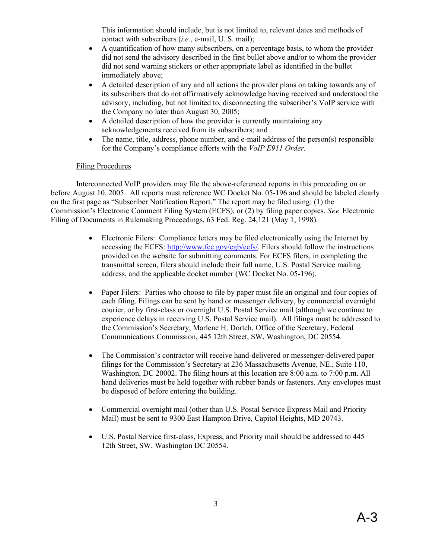This information should include, but is not limited to, relevant dates and methods of contact with subscribers (*i.e.*, e-mail, U. S. mail);

- A quantification of how many subscribers, on a percentage basis, to whom the provider did not send the advisory described in the first bullet above and/or to whom the provider did not send warning stickers or other appropriate label as identified in the bullet immediately above;
- A detailed description of any and all actions the provider plans on taking towards any of its subscribers that do not affirmatively acknowledge having received and understood the advisory, including, but not limited to, disconnecting the subscriber's VoIP service with the Company no later than August 30, 2005;
- A detailed description of how the provider is currently maintaining any acknowledgements received from its subscribers; and
- The name, title, address, phone number, and e-mail address of the person(s) responsible for the Company's compliance efforts with the *VoIP E911 Order.*

### Filing Procedures

Interconnected VoIP providers may file the above-referenced reports in this proceeding on or before August 10, 2005. All reports must reference WC Docket No. 05-196 and should be labeled clearly on the first page as "Subscriber Notification Report." The report may be filed using: (1) the Commission's Electronic Comment Filing System (ECFS), or (2) by filing paper copies. *See* Electronic Filing of Documents in Rulemaking Proceedings, 63 Fed. Reg. 24,121 (May 1, 1998).

- Electronic Filers: Compliance letters may be filed electronically using the Internet by accessing the ECFS: http://www.fcc.gov/cgb/ecfs/. Filers should follow the instructions provided on the website for submitting comments. For ECFS filers, in completing the transmittal screen, filers should include their full name, U.S. Postal Service mailing address, and the applicable docket number (WC Docket No. 05-196).
- Paper Filers: Parties who choose to file by paper must file an original and four copies of each filing. Filings can be sent by hand or messenger delivery, by commercial overnight courier, or by first-class or overnight U.S. Postal Service mail (although we continue to experience delays in receiving U.S. Postal Service mail). All filings must be addressed to the Commission's Secretary, Marlene H. Dortch, Office of the Secretary, Federal Communications Commission, 445 12th Street, SW, Washington, DC 20554.
- The Commission's contractor will receive hand-delivered or messenger-delivered paper filings for the Commission's Secretary at 236 Massachusetts Avenue, NE., Suite 110, Washington, DC 20002. The filing hours at this location are 8:00 a.m. to 7:00 p.m. All hand deliveries must be held together with rubber bands or fasteners. Any envelopes must be disposed of before entering the building.
- Commercial overnight mail (other than U.S. Postal Service Express Mail and Priority Mail) must be sent to 9300 East Hampton Drive, Capitol Heights, MD 20743.
- U.S. Postal Service first-class, Express, and Priority mail should be addressed to 445 12th Street, SW, Washington DC 20554.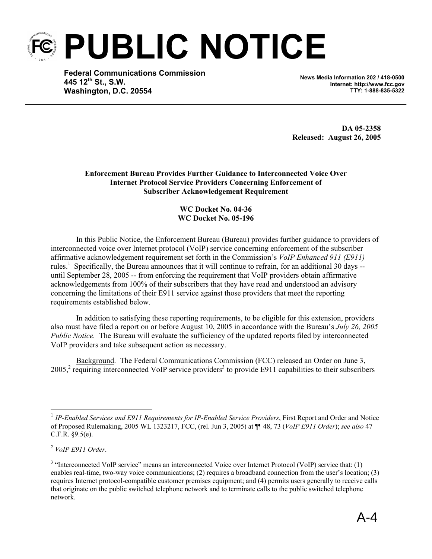**PUBLIC NOTICE** 

**Federal Communications Commission 445 12th St., S.W. Washington, D.C. 20554**

**News Media Information 202 / 418-0500 Internet: http://www.fcc.gov TTY: 1-888-835-5322**

**DA 05-2358 Released: August 26, 2005** 

**Enforcement Bureau Provides Further Guidance to Interconnected Voice Over Internet Protocol Service Providers Concerning Enforcement of Subscriber Acknowledgement Requirement** 

> **WC Docket No. 04-36 WC Docket No. 05-196**

In this Public Notice, the Enforcement Bureau (Bureau) provides further guidance to providers of interconnected voice over Internet protocol (VoIP) service concerning enforcement of the subscriber affirmative acknowledgement requirement set forth in the Commission's *VoIP Enhanced 911 (E911)* rules.<sup>1</sup> Specifically, the Bureau announces that it will continue to refrain, for an additional 30 days -until September 28, 2005 -- from enforcing the requirement that VoIP providers obtain affirmative acknowledgements from 100% of their subscribers that they have read and understood an advisory concerning the limitations of their E911 service against those providers that meet the reporting requirements established below.

In addition to satisfying these reporting requirements, to be eligible for this extension, providers also must have filed a report on or before August 10, 2005 in accordance with the Bureau's *July 26, 2005 Public Notice.* The Bureau will evaluate the sufficiency of the updated reports filed by interconnected VoIP providers and take subsequent action as necessary.

Background. The Federal Communications Commission (FCC) released an Order on June 3,  $2005<sup>2</sup>$  requiring interconnected VoIP service providers<sup>3</sup> to provide E911 capabilities to their subscribers

1

<sup>&</sup>lt;sup>1</sup> IP-Enabled Services and E911 Requirements for IP-Enabled Service Providers, First Report and Order and Notice of Proposed Rulemaking, 2005 WL 1323217, FCC, (rel. Jun 3, 2005) at ¶¶ 48, 73 (*VoIP E911 Order*); *see also* 47 C.F.R. §9.5(e).

<sup>2</sup>  *VoIP E911 Order*.

<sup>&</sup>lt;sup>3</sup> "Interconnected VoIP service" means an interconnected Voice over Internet Protocol (VoIP) service that: (1) enables real-time, two-way voice communications; (2) requires a broadband connection from the user's location; (3) requires Internet protocol-compatible customer premises equipment; and (4) permits users generally to receive calls that originate on the public switched telephone network and to terminate calls to the public switched telephone network.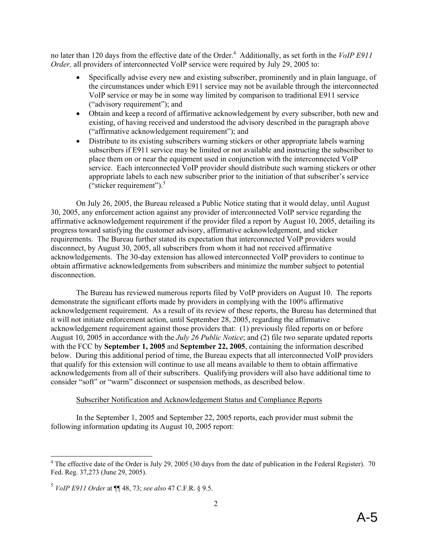no later than 120 days from the effective date of the Order.<sup>4</sup> Additionally, as set forth in the *VoIP E911 Order,* all providers of interconnected VoIP service were required by July 29, 2005 to:

- Specifically advise every new and existing subscriber, prominently and in plain language, of the circumstances under which E911 service may not be available through the interconnected VoIP service or may be in some way limited by comparison to traditional E911 service ("advisory requirement"); and
- Obtain and keep a record of affirmative acknowledgement by every subscriber, both new and existing, of having received and understood the advisory described in the paragraph above ("affirmative acknowledgement requirement"); and
- Distribute to its existing subscribers warning stickers or other appropriate labels warning subscribers if E911 service may be limited or not available and instructing the subscriber to place them on or near the equipment used in conjunction with the interconnected VoIP service. Each interconnected VoIP provider should distribute such warning stickers or other appropriate labels to each new subscriber prior to the initiation of that subscriber's service ("sticker requirement"). $5$

On July 26, 2005, the Bureau released a Public Notice stating that it would delay, until August 30, 2005, any enforcement action against any provider of interconnected VoIP service regarding the affirmative acknowledgement requirement if the provider filed a report by August 10, 2005, detailing its progress toward satisfying the customer advisory, affirmative acknowledgement, and sticker requirements. The Bureau further stated its expectation that interconnected VoIP providers would disconnect, by August 30, 2005, all subscribers from whom it had not received affirmative acknowledgements. The 30-day extension has allowed interconnected VoIP providers to continue to obtain affirmative acknowledgements from subscribers and minimize the number subject to potential disconnection.

The Bureau has reviewed numerous reports filed by VoIP providers on August 10. The reports demonstrate the significant efforts made by providers in complying with the 100% affirmative acknowledgement requirement. As a result of its review of these reports, the Bureau has determined that it will not initiate enforcement action, until September 28, 2005, regarding the affirmative acknowledgement requirement against those providers that: (1) previously filed reports on or before August 10, 2005 in accordance with the *July 26 Public Notice*; and (2) file two separate updated reports with the FCC by **September 1, 2005** and **September 22, 2005**, containing the information described below. During this additional period of time, the Bureau expects that all interconnected VoIP providers that qualify for this extension will continue to use all means available to them to obtain affirmative acknowledgements from all of their subscribers. Qualifying providers will also have additional time to consider "soft" or "warm" disconnect or suspension methods, as described below.

#### Subscriber Notification and Acknowledgement Status and Compliance Reports

In the September 1, 2005 and September 22, 2005 reports, each provider must submit the following information updating its August 10, 2005 report:

<sup>&</sup>lt;sup>4</sup> The effective date of the Order is July 29, 2005 (30 days from the date of publication in the Federal Register). 70 Fed. Reg. 37,273 (June 29, 2005).

<sup>5</sup> *VoIP E911 Order* at ¶¶ 48, 73; *see also* 47 C.F.R. § 9.5.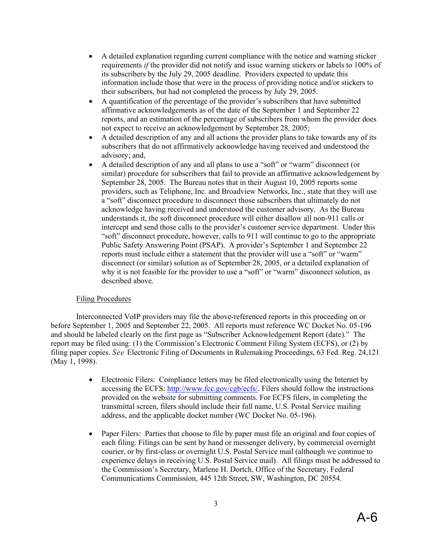- A detailed explanation regarding current compliance with the notice and warning sticker requirements *if* the provider did not notify and issue warning stickers or labels to 100% of its subscribers by the July 29, 2005 deadline. Providers expected to update this information include those that were in the process of providing notice and/or stickers to their subscribers, but had not completed the process by July 29, 2005.
- A quantification of the percentage of the provider's subscribers that have submitted affirmative acknowledgements as of the date of the September 1 and September 22 reports, and an estimation of the percentage of subscribers from whom the provider does not expect to receive an acknowledgement by September 28, 2005;
- A detailed description of any and all actions the provider plans to take towards any of its subscribers that do not affirmatively acknowledge having received and understood the advisory; and,
- A detailed description of any and all plans to use a "soft" or "warm" disconnect (or similar) procedure for subscribers that fail to provide an affirmative acknowledgement by September 28, 2005. The Bureau notes that in their August 10, 2005 reports some providers, such as Teliphone, Inc. and Broadview Networks, Inc., state that they will use a "soft" disconnect procedure to disconnect those subscribers that ultimately do not acknowledge having received and understood the customer advisory. As the Bureau understands it, the soft disconnect procedure will either disallow all non-911 calls or intercept and send those calls to the provider's customer service department. Under this "soft" disconnect procedure, however, calls to 911 will continue to go to the appropriate Public Safety Answering Point (PSAP). A provider's September 1 and September 22 reports must include either a statement that the provider will use a "soft" or "warm" disconnect (or similar) solution as of September 28, 2005, or a detailed explanation of why it is not feasible for the provider to use a "soft" or "warm" disconnect solution, as described above.

### Filing Procedures

Interconnected VoIP providers may file the above-referenced reports in this proceeding on or before September 1, 2005 and September 22, 2005. All reports must reference WC Docket No. 05-196 and should be labeled clearly on the first page as "Subscriber Acknowledgement Report (date)." The report may be filed using: (1) the Commission's Electronic Comment Filing System (ECFS), or (2) by filing paper copies. *See* Electronic Filing of Documents in Rulemaking Proceedings, 63 Fed. Reg. 24,121 (May 1, 1998).

- Electronic Filers: Compliance letters may be filed electronically using the Internet by accessing the ECFS: http://www.fcc.gov/cgb/ecfs/. Filers should follow the instructions provided on the website for submitting comments. For ECFS filers, in completing the transmittal screen, filers should include their full name, U.S. Postal Service mailing address, and the applicable docket number (WC Docket No. 05-196).
- Paper Filers: Parties that choose to file by paper must file an original and four copies of each filing. Filings can be sent by hand or messenger delivery, by commercial overnight courier, or by first-class or overnight U.S. Postal Service mail (although we continue to experience delays in receiving U.S. Postal Service mail). All filings must be addressed to the Commission's Secretary, Marlene H. Dortch, Office of the Secretary, Federal Communications Commission, 445 12th Street, SW, Washington, DC 20554.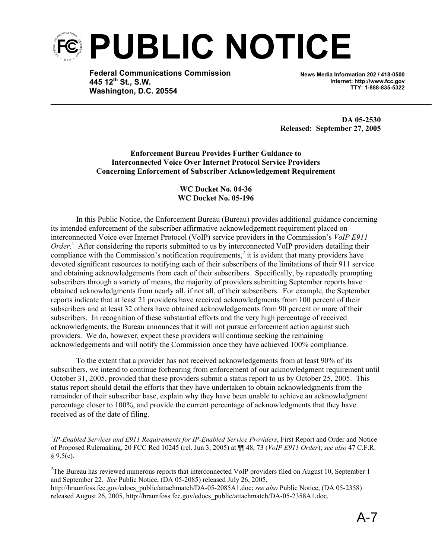

**Federal Communications Commission 445 12th St., S.W. Washington, D.C. 20554**

**News Media Information 202 / 418-0500 Internet: http://www.fcc.gov TTY: 1-888-835-5322**

**DA 05-2530 Released: September 27, 2005** 

**Enforcement Bureau Provides Further Guidance to Interconnected Voice Over Internet Protocol Service Providers Concerning Enforcement of Subscriber Acknowledgement Requirement** 

> **WC Docket No. 04-36 WC Docket No. 05-196**

In this Public Notice, the Enforcement Bureau (Bureau) provides additional guidance concerning its intended enforcement of the subscriber affirmative acknowledgement requirement placed on interconnected Voice over Internet Protocol (VoIP) service providers in the Commission's *VoIP E911*  Order.<sup>1</sup> After considering the reports submitted to us by interconnected VoIP providers detailing their compliance with the Commission's notification requirements, $\frac{2}{3}$  it is evident that many providers have devoted significant resources to notifying each of their subscribers of the limitations of their 911 service and obtaining acknowledgements from each of their subscribers. Specifically, by repeatedly prompting subscribers through a variety of means, the majority of providers submitting September reports have obtained acknowledgments from nearly all, if not all, of their subscribers. For example, the September reports indicate that at least 21 providers have received acknowledgments from 100 percent of their subscribers and at least 32 others have obtained acknowledgements from 90 percent or more of their subscribers. In recognition of these substantial efforts and the very high percentage of received acknowledgments, the Bureau announces that it will not pursue enforcement action against such providers. We do, however, expect these providers will continue seeking the remaining acknowledgements and will notify the Commission once they have achieved 100% compliance.

To the extent that a provider has not received acknowledgements from at least 90% of its subscribers, we intend to continue forbearing from enforcement of our acknowledgment requirement until October 31, 2005, provided that these providers submit a status report to us by October 25, 2005. This status report should detail the efforts that they have undertaken to obtain acknowledgments from the remainder of their subscriber base, explain why they have been unable to achieve an acknowledgment percentage closer to 100%, and provide the current percentage of acknowledgments that they have received as of the date of filing.

1

<sup>2</sup>The Bureau has reviewed numerous reports that interconnected VoIP providers filed on August 10, September 1 and September 22. *See* Public Notice, (DA 05-2085) released July 26, 2005,

<sup>&</sup>lt;sup>1</sup>IP-Enabled Services and E911 Requirements for IP-Enabled Service Providers, First Report and Order and Notice of Proposed Rulemaking, 20 FCC Rcd 10245 (rel. Jun 3, 2005) at ¶¶ 48, 73 (*VoIP E911 Order*); *see also* 47 C.F.R.  $§ 9.5(e).$ 

http://hraunfoss.fcc.gov/edocs\_public/attachmatch/DA-05-2085A1.doc; *see also* Public Notice, (DA 05-2358) released August 26, 2005, http://hraunfoss.fcc.gov/edocs\_public/attachmatch/DA-05-2358A1.doc.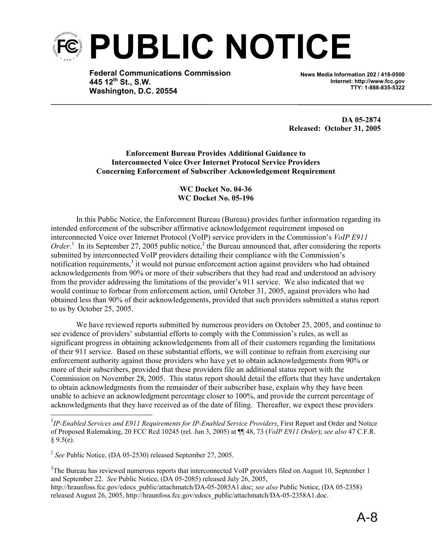

**Federal Communications Commission 445 12th St., S.W. Washington, D.C. 20554**

**News Media Information 202 / 418-0500 Internet: http://www.fcc.gov TTY: 1-888-835-5322**

**DA 05-2874 Released: October 31, 2005** 

**Enforcement Bureau Provides Additional Guidance to Interconnected Voice Over Internet Protocol Service Providers Concerning Enforcement of Subscriber Acknowledgement Requirement** 

#### **WC Docket No. 04-36 WC Docket No. 05-196**

In this Public Notice, the Enforcement Bureau (Bureau) provides further information regarding its intended enforcement of the subscriber affirmative acknowledgement requirement imposed on interconnected Voice over Internet Protocol (VoIP) service providers in the Commission's *VoIP E911 Order*.<sup>1</sup> In its September 27, 2005 public notice,<sup>2</sup> the Bureau announced that, after considering the reports submitted by interconnected VoIP providers detailing their compliance with the Commission's notification requirements,<sup>3</sup> it would not pursue enforcement action against providers who had obtained acknowledgements from 90% or more of their subscribers that they had read and understood an advisory from the provider addressing the limitations of the provider's 911 service. We also indicated that we would continue to forbear from enforcement action, until October 31, 2005, against providers who had obtained less than 90% of their acknowledgements, provided that such providers submitted a status report to us by October 25, 2005.

We have reviewed reports submitted by numerous providers on October 25, 2005, and continue to see evidence of providers' substantial efforts to comply with the Commission's rules, as well as significant progress in obtaining acknowledgements from all of their customers regarding the limitations of their 911 service. Based on these substantial efforts, we will continue to refrain from exercising our enforcement authority against those providers who have yet to obtain acknowledgements from 90% or more of their subscribers, provided that these providers file an additional status report with the Commission on November 28, 2005. This status report should detail the efforts that they have undertaken to obtain acknowledgments from the remainder of their subscriber base, explain why they have been unable to achieve an acknowledgment percentage closer to 100%, and provide the current percentage of acknowledgments that they have received as of the date of filing. Thereafter, we expect these providers

l

 $3$ The Bureau has reviewed numerous reports that interconnected VoIP providers filed on August 10, September 1 and September 22. *See* Public Notice, (DA 05-2085) released July 26, 2005, http://hraunfoss.fcc.gov/edocs\_public/attachmatch/DA-05-2085A1.doc; *see also* Public Notice, (DA 05-2358) released August 26, 2005, http://hraunfoss.fcc.gov/edocs\_public/attachmatch/DA-05-2358A1.doc.

<sup>&</sup>lt;sup>1</sup>IP-Enabled Services and E911 Requirements for IP-Enabled Service Providers, First Report and Order and Notice of Proposed Rulemaking, 20 FCC Rcd 10245 (rel. Jun 3, 2005) at ¶¶ 48, 73 (*VoIP E911 Order*); *see also* 47 C.F.R.  $§ 9.5(e).$ 

<sup>2</sup> *See* Public Notice, (DA 05-2530) released September 27, 2005.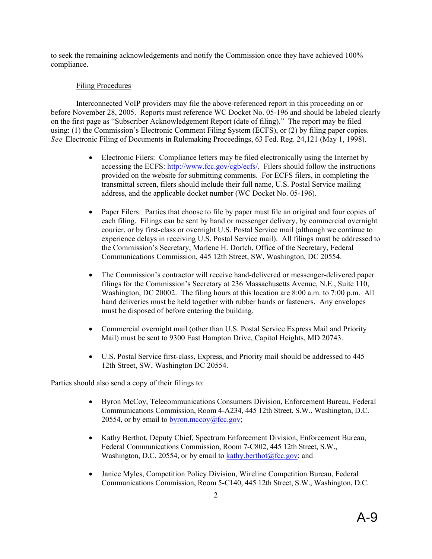to seek the remaining acknowledgements and notify the Commission once they have achieved 100% compliance.

### Filing Procedures

Interconnected VoIP providers may file the above-referenced report in this proceeding on or before November 28, 2005. Reports must reference WC Docket No. 05-196 and should be labeled clearly on the first page as "Subscriber Acknowledgement Report (date of filing)." The report may be filed using: (1) the Commission's Electronic Comment Filing System (ECFS), or (2) by filing paper copies. *See* Electronic Filing of Documents in Rulemaking Proceedings, 63 Fed. Reg. 24,121 (May 1, 1998).

- Electronic Filers: Compliance letters may be filed electronically using the Internet by accessing the ECFS: http://www.fcc.gov/cgb/ecfs/. Filers should follow the instructions provided on the website for submitting comments. For ECFS filers, in completing the transmittal screen, filers should include their full name, U.S. Postal Service mailing address, and the applicable docket number (WC Docket No. 05-196).
- Paper Filers: Parties that choose to file by paper must file an original and four copies of each filing. Filings can be sent by hand or messenger delivery, by commercial overnight courier, or by first-class or overnight U.S. Postal Service mail (although we continue to experience delays in receiving U.S. Postal Service mail). All filings must be addressed to the Commission's Secretary, Marlene H. Dortch, Office of the Secretary, Federal Communications Commission, 445 12th Street, SW, Washington, DC 20554.
- The Commission's contractor will receive hand-delivered or messenger-delivered paper filings for the Commission's Secretary at 236 Massachusetts Avenue, N.E., Suite 110, Washington, DC 20002. The filing hours at this location are 8:00 a.m. to 7:00 p.m. All hand deliveries must be held together with rubber bands or fasteners. Any envelopes must be disposed of before entering the building.
- Commercial overnight mail (other than U.S. Postal Service Express Mail and Priority Mail) must be sent to 9300 East Hampton Drive, Capitol Heights, MD 20743.
- U.S. Postal Service first-class, Express, and Priority mail should be addressed to 445 12th Street, SW, Washington DC 20554.

Parties should also send a copy of their filings to:

- Byron McCoy, Telecommunications Consumers Division, Enforcement Bureau, Federal Communications Commission, Room 4-A234, 445 12th Street, S.W., Washington, D.C. 20554, or by email to byron.mccoy $@$ fcc.gov;
- Kathy Berthot, Deputy Chief, Spectrum Enforcement Division, Enforcement Bureau, Federal Communications Commission, Room 7-C802, 445 12th Street, S.W., Washington, D.C. 20554, or by email to kathy.berthot $@$ fcc.gov; and
- Janice Myles, Competition Policy Division, Wireline Competition Bureau, Federal Communications Commission, Room 5-C140, 445 12th Street, S.W., Washington, D.C.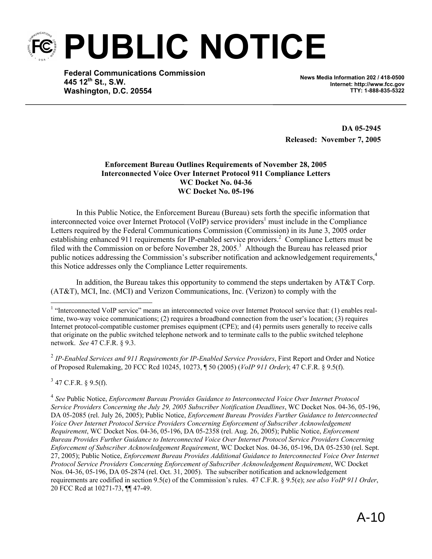**PUBLIC NOTICE** 

**Federal Communications Commission 445 12th St., S.W. Washington, D.C. 20554**

**News Media Information 202 / 418-0500 Internet: http://www.fcc.gov TTY: 1-888-835-5322**

**DA 05-2945 Released: November 7, 2005** 

#### **Enforcement Bureau Outlines Requirements of November 28, 2005 Interconnected Voice Over Internet Protocol 911 Compliance Letters WC Docket No. 04-36 WC Docket No. 05-196**

In this Public Notice, the Enforcement Bureau (Bureau) sets forth the specific information that interconnected voice over Internet Protocol (VoIP) service providers<sup>1</sup> must include in the Compliance Letters required by the Federal Communications Commission (Commission) in its June 3, 2005 order establishing enhanced 911 requirements for IP-enabled service providers.<sup>2</sup> Compliance Letters must be filed with the Commission on or before November 28, 2005.<sup>3</sup> Although the Bureau has released prior public notices addressing the Commission's subscriber notification and acknowledgement requirements.<sup>4</sup> this Notice addresses only the Compliance Letter requirements.

In addition, the Bureau takes this opportunity to commend the steps undertaken by AT&T Corp. (AT&T), MCI, Inc. (MCI) and Verizon Communications, Inc. (Verizon) to comply with the

<sup>2</sup> *IP-Enabled Services and 911 Requirements for IP-Enabled Service Providers*, First Report and Order and Notice of Proposed Rulemaking, 20 FCC Rcd 10245, 10273, ¶ 50 (2005) (*VoIP 911 Order*); 47 C.F.R. § 9.5(f).

 $3$  47 C.F.R. § 9.5(f).

-

<sup>4</sup> *See* Public Notice, *Enforcement Bureau Provides Guidance to Interconnected Voice Over Internet Protocol Service Providers Concerning the July 29, 2005 Subscriber Notification Deadlines*, WC Docket Nos. 04-36, 05-196, DA 05-2085 (rel. July 26, 2005); Public Notice, *Enforcement Bureau Provides Further Guidance to Interconnected Voice Over Internet Protocol Service Providers Concerning Enforcement of Subscriber Acknowledgement Requirement*, WC Docket Nos. 04-36, 05-196, DA 05-2358 (rel. Aug. 26, 2005); Public Notice, *Enforcement Bureau Provides Further Guidance to Interconnected Voice Over Internet Protocol Service Providers Concerning Enforcement of Subscriber Acknowledgement Requirement*, WC Docket Nos. 04-36, 05-196, DA 05-2530 (rel. Sept. 27, 2005); Public Notice, *Enforcement Bureau Provides Additional Guidance to Interconnected Voice Over Internet Protocol Service Providers Concerning Enforcement of Subscriber Acknowledgement Requirement*, WC Docket Nos. 04-36, 05-196, DA 05-2874 (rel. Oct. 31, 2005). The subscriber notification and acknowledgement requirements are codified in section 9.5(e) of the Commission's rules. 47 C.F.R. § 9.5(e); *see also VoIP 911 Order*, 20 FCC Rcd at 10271-73, ¶¶ 47-49.

<sup>&</sup>lt;sup>1</sup> "Interconnected VoIP service" means an interconnected voice over Internet Protocol service that: (1) enables realtime, two-way voice communications; (2) requires a broadband connection from the user's location; (3) requires Internet protocol-compatible customer premises equipment (CPE); and (4) permits users generally to receive calls that originate on the public switched telephone network and to terminate calls to the public switched telephone network. *See* 47 C.F.R. § 9.3.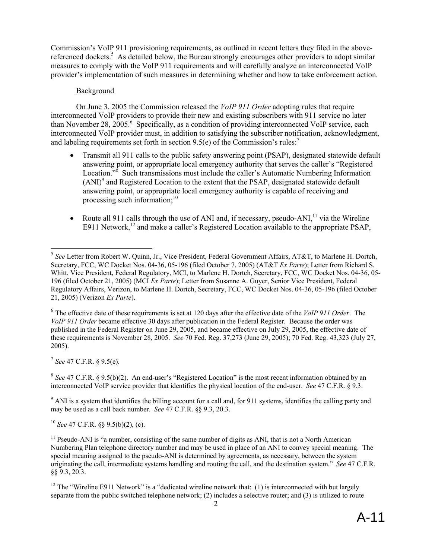Commission's VoIP 911 provisioning requirements, as outlined in recent letters they filed in the abovereferenced dockets.<sup>5</sup> As detailed below, the Bureau strongly encourages other providers to adopt similar measures to comply with the VoIP 911 requirements and will carefully analyze an interconnected VoIP provider's implementation of such measures in determining whether and how to take enforcement action.

#### Background

On June 3, 2005 the Commission released the *VoIP 911 Order* adopting rules that require interconnected VoIP providers to provide their new and existing subscribers with 911 service no later than November 28, 2005.<sup>6</sup> Specifically, as a condition of providing interconnected VoIP service, each interconnected VoIP provider must, in addition to satisfying the subscriber notification, acknowledgment, and labeling requirements set forth in section 9.5(e) of the Commission's rules:<sup>7</sup>

- Transmit all 911 calls to the public safety answering point (PSAP), designated statewide default answering point, or appropriate local emergency authority that serves the caller's "Registered Location.<sup>38</sup> Such transmissions must include the caller's Automatic Numbering Information  $(ANI)^9$  and Registered Location to the extent that the PSAP, designated statewide default answering point, or appropriate local emergency authority is capable of receiving and processing such information;<sup>10</sup>
- Route all 911 calls through the use of ANI and, if necessary, pseudo-ANI, $<sup>11</sup>$  via the Wireline</sup> E911 Network,<sup>12</sup> and make a caller's Registered Location available to the appropriate PSAP,

<sup>7</sup> *See* 47 C.F.R. § 9.5(e).

1

<sup>8</sup> *See* 47 C.F.R. § 9.5(b)(2). An end-user's "Registered Location" is the most recent information obtained by an interconnected VoIP service provider that identifies the physical location of the end-user. *See* 47 C.F.R. § 9.3.

 $9$  ANI is a system that identifies the billing account for a call and, for 911 systems, identifies the calling party and may be used as a call back number. *See* 47 C.F.R. §§ 9.3, 20.3.

<sup>10</sup> *See* 47 C.F.R. §§ 9.5(b)(2), (c).

<sup>5</sup> *See* Letter from Robert W. Quinn, Jr., Vice President, Federal Government Affairs, AT&T, to Marlene H. Dortch, Secretary, FCC, WC Docket Nos. 04-36, 05-196 (filed October 7, 2005) (AT&T *Ex Parte*); Letter from Richard S. Whitt, Vice President, Federal Regulatory, MCI, to Marlene H. Dortch, Secretary, FCC, WC Docket Nos. 04-36, 05- 196 (filed October 21, 2005) (MCI *Ex Parte*); Letter from Susanne A. Guyer, Senior Vice President, Federal Regulatory Affairs, Verizon, to Marlene H. Dortch, Secretary, FCC, WC Docket Nos. 04-36, 05-196 (filed October 21, 2005) (Verizon *Ex Parte*).

<sup>6</sup> The effective date of these requirements is set at 120 days after the effective date of the *VoIP 911 Order*. The *VoIP 911 Order* became effective 30 days after publication in the Federal Register. Because the order was published in the Federal Register on June 29, 2005, and became effective on July 29, 2005, the effective date of these requirements is November 28, 2005. *See* 70 Fed. Reg. 37,273 (June 29, 2005); 70 Fed. Reg. 43,323 (July 27, 2005).

 $11$  Pseudo-ANI is "a number, consisting of the same number of digits as ANI, that is not a North American Numbering Plan telephone directory number and may be used in place of an ANI to convey special meaning. The special meaning assigned to the pseudo-ANI is determined by agreements, as necessary, between the system originating the call, intermediate systems handling and routing the call, and the destination system." *See* 47 C.F.R. §§ 9.3, 20.3.

<sup>&</sup>lt;sup>12</sup> The "Wireline E911 Network" is a "dedicated wireline network that: (1) is interconnected with but largely separate from the public switched telephone network; (2) includes a selective router; and (3) is utilized to route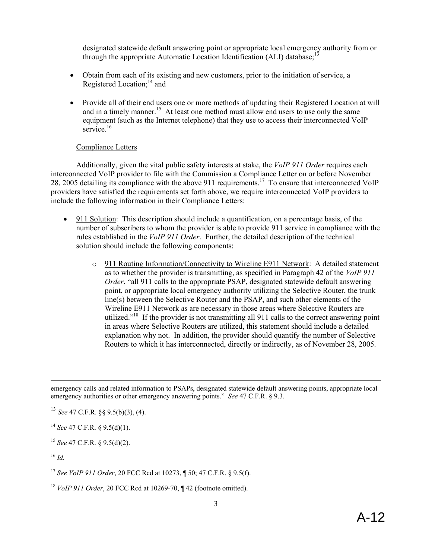designated statewide default answering point or appropriate local emergency authority from or through the appropriate Automatic Location Identification (ALI) database;<sup>13</sup>

- Obtain from each of its existing and new customers, prior to the initiation of service, a Registered Location: $14$  and
- Provide all of their end users one or more methods of updating their Registered Location at will and in a timely manner.<sup>15</sup> At least one method must allow end users to use only the same equipment (such as the Internet telephone) that they use to access their interconnected VoIP  $s$ ervice.<sup>16</sup>

#### Compliance Letters

Additionally, given the vital public safety interests at stake, the *VoIP 911 Order* requires each interconnected VoIP provider to file with the Commission a Compliance Letter on or before November 28, 2005 detailing its compliance with the above 911 requirements.<sup>17</sup> To ensure that interconnected VoIP providers have satisfied the requirements set forth above, we require interconnected VoIP providers to include the following information in their Compliance Letters:

- 911 Solution: This description should include a quantification, on a percentage basis, of the number of subscribers to whom the provider is able to provide 911 service in compliance with the rules established in the *VoIP 911 Order*. Further, the detailed description of the technical solution should include the following components:
	- o 911 Routing Information/Connectivity to Wireline E911 Network: A detailed statement as to whether the provider is transmitting, as specified in Paragraph 42 of the *VoIP 911 Order*, "all 911 calls to the appropriate PSAP, designated statewide default answering point, or appropriate local emergency authority utilizing the Selective Router, the trunk line(s) between the Selective Router and the PSAP, and such other elements of the Wireline E911 Network as are necessary in those areas where Selective Routers are utilized."<sup>18</sup> If the provider is not transmitting all 911 calls to the correct answering point in areas where Selective Routers are utilized, this statement should include a detailed explanation why not. In addition, the provider should quantify the number of Selective Routers to which it has interconnected, directly or indirectly, as of November 28, 2005.

emergency calls and related information to PSAPs, designated statewide default answering points, appropriate local emergency authorities or other emergency answering points." *See* 47 C.F.R. § 9.3.

<sup>13</sup> *See* 47 C.F.R. §§ 9.5(b)(3), (4).

<sup>14</sup> *See* 47 C.F.R. § 9.5(d)(1).

<sup>15</sup> *See* 47 C.F.R. § 9.5(d)(2).

<sup>16</sup> *Id.*

-

<sup>17</sup> *See VoIP 911 Order*, 20 FCC Rcd at 10273, ¶ 50; 47 C.F.R. § 9.5(f).

<sup>18</sup> *VoIP 911 Order*, 20 FCC Rcd at 10269-70, ¶ 42 (footnote omitted).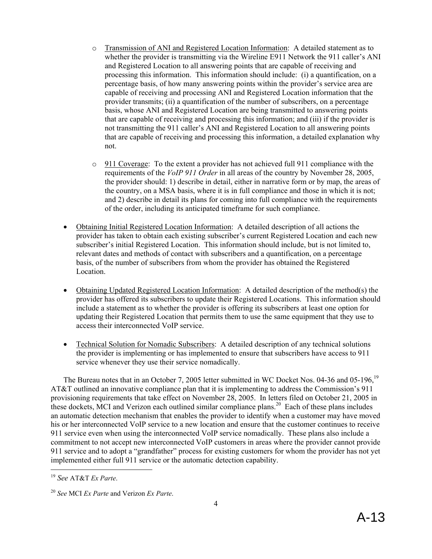- o Transmission of ANI and Registered Location Information: A detailed statement as to whether the provider is transmitting via the Wireline E911 Network the 911 caller's ANI and Registered Location to all answering points that are capable of receiving and processing this information. This information should include: (i) a quantification, on a percentage basis, of how many answering points within the provider's service area are capable of receiving and processing ANI and Registered Location information that the provider transmits; (ii) a quantification of the number of subscribers, on a percentage basis, whose ANI and Registered Location are being transmitted to answering points that are capable of receiving and processing this information; and (iii) if the provider is not transmitting the 911 caller's ANI and Registered Location to all answering points that are capable of receiving and processing this information, a detailed explanation why not.
- o 911 Coverage: To the extent a provider has not achieved full 911 compliance with the requirements of the *VoIP 911 Order* in all areas of the country by November 28, 2005, the provider should: 1) describe in detail, either in narrative form or by map, the areas of the country, on a MSA basis, where it is in full compliance and those in which it is not; and 2) describe in detail its plans for coming into full compliance with the requirements of the order, including its anticipated timeframe for such compliance.
- Obtaining Initial Registered Location Information: A detailed description of all actions the provider has taken to obtain each existing subscriber's current Registered Location and each new subscriber's initial Registered Location. This information should include, but is not limited to, relevant dates and methods of contact with subscribers and a quantification, on a percentage basis, of the number of subscribers from whom the provider has obtained the Registered Location.
- Obtaining Updated Registered Location Information: A detailed description of the method(s) the provider has offered its subscribers to update their Registered Locations. This information should include a statement as to whether the provider is offering its subscribers at least one option for updating their Registered Location that permits them to use the same equipment that they use to access their interconnected VoIP service.
- Technical Solution for Nomadic Subscribers: A detailed description of any technical solutions the provider is implementing or has implemented to ensure that subscribers have access to 911 service whenever they use their service nomadically.

The Bureau notes that in an October 7, 2005 letter submitted in WC Docket Nos. 04-36 and 05-196, <sup>19</sup> AT&T outlined an innovative compliance plan that it is implementing to address the Commission's 911 provisioning requirements that take effect on November 28, 2005. In letters filed on October 21, 2005 in these dockets, MCI and Verizon each outlined similar compliance plans.<sup>20</sup> Each of these plans includes an automatic detection mechanism that enables the provider to identify when a customer may have moved his or her interconnected VoIP service to a new location and ensure that the customer continues to receive 911 service even when using the interconnected VoIP service nomadically. These plans also include a commitment to not accept new interconnected VoIP customers in areas where the provider cannot provide 911 service and to adopt a "grandfather" process for existing customers for whom the provider has not yet implemented either full 911 service or the automatic detection capability.

1

<sup>19</sup> *See* AT&T *Ex Parte*.

<sup>20</sup> *See* MCI *Ex Parte* and Verizon *Ex Parte*.